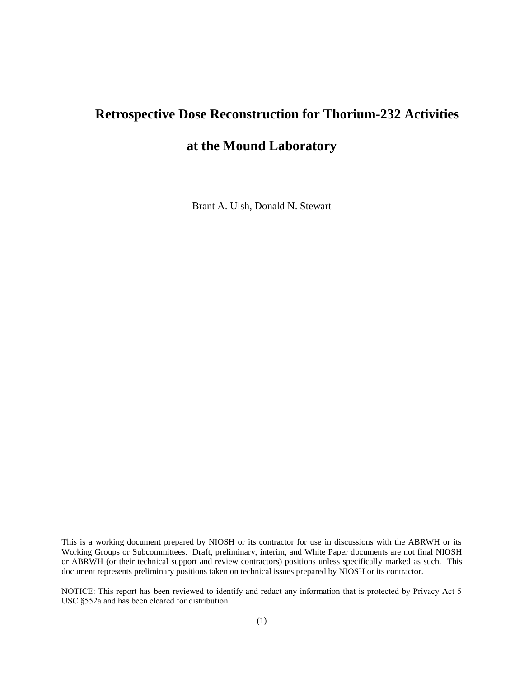# **Retrospective Dose Reconstruction for Thorium-232 Activities**

# **at the Mound Laboratory**

Brant A. Ulsh, Donald N. Stewart

This is a working document prepared by NIOSH or its contractor for use in discussions with the ABRWH or its Working Groups or Subcommittees. Draft, preliminary, interim, and White Paper documents are not final NIOSH or ABRWH (or their technical support and review contractors) positions unless specifically marked as such. This document represents preliminary positions taken on technical issues prepared by NIOSH or its contractor.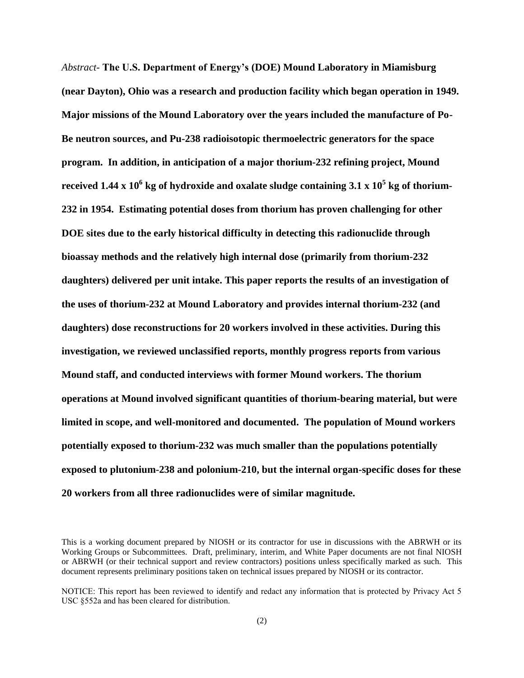*Abstract-* **The U.S. Department of Energy's (DOE) Mound Laboratory in Miamisburg (near Dayton), Ohio was a research and production facility which began operation in 1949. Major missions of the Mound Laboratory over the years included the manufacture of Po-Be neutron sources, and Pu-238 radioisotopic thermoelectric generators for the space program. In addition, in anticipation of a major thorium-232 refining project, Mound received 1.44 x 10<sup>6</sup> kg of hydroxide and oxalate sludge containing 3.1 x 10<sup>5</sup> kg of thorium-232 in 1954. Estimating potential doses from thorium has proven challenging for other DOE sites due to the early historical difficulty in detecting this radionuclide through bioassay methods and the relatively high internal dose (primarily from thorium-232 daughters) delivered per unit intake. This paper reports the results of an investigation of the uses of thorium-232 at Mound Laboratory and provides internal thorium-232 (and daughters) dose reconstructions for 20 workers involved in these activities. During this investigation, we reviewed unclassified reports, monthly progress reports from various Mound staff, and conducted interviews with former Mound workers. The thorium operations at Mound involved significant quantities of thorium-bearing material, but were limited in scope, and well-monitored and documented. The population of Mound workers potentially exposed to thorium-232 was much smaller than the populations potentially exposed to plutonium-238 and polonium-210, but the internal organ-specific doses for these 20 workers from all three radionuclides were of similar magnitude.**

This is a working document prepared by NIOSH or its contractor for use in discussions with the ABRWH or its Working Groups or Subcommittees. Draft, preliminary, interim, and White Paper documents are not final NIOSH or ABRWH (or their technical support and review contractors) positions unless specifically marked as such. This document represents preliminary positions taken on technical issues prepared by NIOSH or its contractor.

NOTICE: This report has been reviewed to identify and redact any information that is protected by Privacy Act 5 USC §552a and has been cleared for distribution.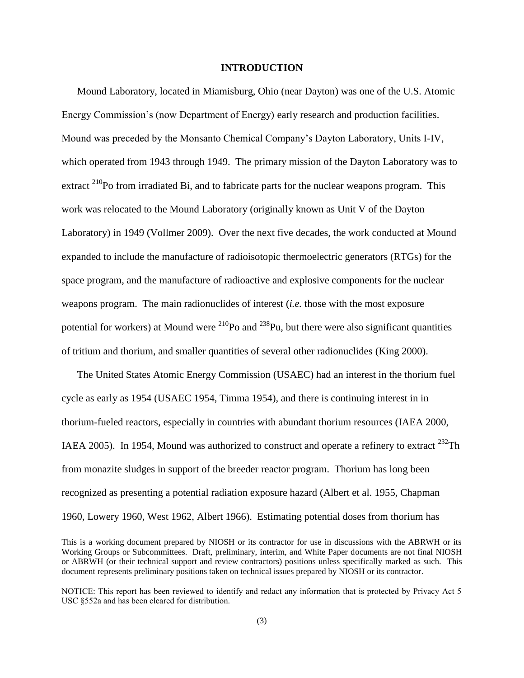## **INTRODUCTION**

Mound Laboratory, located in Miamisburg, Ohio (near Dayton) was one of the U.S. Atomic Energy Commission's (now Department of Energy) early research and production facilities. Mound was preceded by the Monsanto Chemical Company's Dayton Laboratory, Units I-IV, which operated from 1943 through 1949. The primary mission of the Dayton Laboratory was to extract  $^{210}$ Po from irradiated Bi, and to fabricate parts for the nuclear weapons program. This work was relocated to the Mound Laboratory (originally known as Unit V of the Dayton Laboratory) in 1949 [\(Vollmer 2009\)](#page-31-0). Over the next five decades, the work conducted at Mound expanded to include the manufacture of radioisotopic thermoelectric generators (RTGs) for the space program, and the manufacture of radioactive and explosive components for the nuclear weapons program. The main radionuclides of interest (*i.e.* those with the most exposure potential for workers) at Mound were  $^{210}$ Po and  $^{238}$ Pu, but there were also significant quantities of tritium and thorium, and smaller quantities of several other radionuclides [\(King 2000\)](#page-27-0).

The United States Atomic Energy Commission (USAEC) had an interest in the thorium fuel cycle as early as 1954 (USAEC [1954,](#page-25-0) [Timma 1954\)](#page-31-1), and there is continuing interest in in thorium-fueled reactors, especially in countries with abundant thorium resources [\(IAEA 2000,](#page-24-0) [IAEA 2005\)](#page-24-1). In 1954, Mound was authorized to construct and operate a refinery to extract  $^{232}$ Th from monazite sludges in support of the breeder reactor program. Thorium has long been recognized as presenting a potential radiation exposure hazard [\(Albert et al. 1955,](#page-24-2) [Chapman](#page-25-1)  [1960,](#page-25-1) [Lowery 1960,](#page-27-1) [West 1962,](#page-32-0) [Albert 1966\)](#page-24-3). Estimating potential doses from thorium has

This is a working document prepared by NIOSH or its contractor for use in discussions with the ABRWH or its Working Groups or Subcommittees. Draft, preliminary, interim, and White Paper documents are not final NIOSH or ABRWH (or their technical support and review contractors) positions unless specifically marked as such. This document represents preliminary positions taken on technical issues prepared by NIOSH or its contractor.

NOTICE: This report has been reviewed to identify and redact any information that is protected by Privacy Act 5 USC §552a and has been cleared for distribution.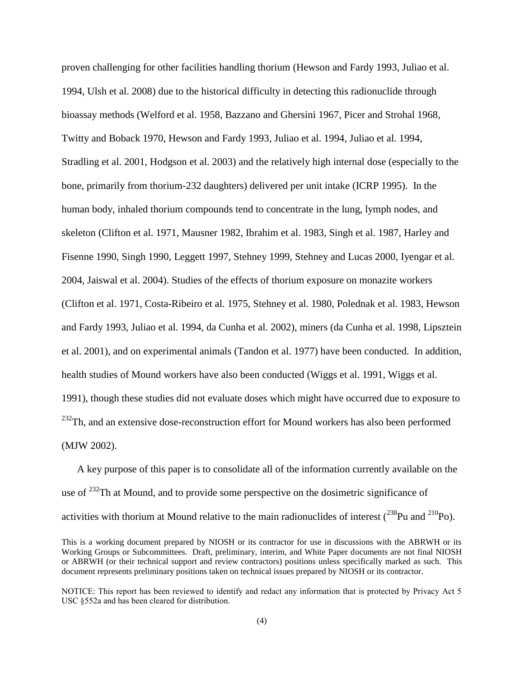proven challenging for other facilities handling thorium [\(Hewson and Fardy 1993,](#page-25-2) [Juliao et al.](#page-27-2)  [1994,](#page-27-2) [Ulsh et al. 2008\)](#page-31-2) due to the historical difficulty in detecting this radionuclide through bioassay methods [\(Welford et al. 1958,](#page-32-1) [Bazzano and Ghersini 1967,](#page-24-4) [Picer and Strohal 1968,](#page-29-0) [Twitty and Boback 1970,](#page-31-3) [Hewson and Fardy 1993,](#page-25-2) [Juliao et al. 1994,](#page-26-0) [Juliao et al. 1994,](#page-27-2) [Stradling et al. 2001,](#page-31-4) [Hodgson et al. 2003\)](#page-26-1) and the relatively high internal dose (especially to the bone, primarily from thorium-232 daughters) delivered per unit intake [\(ICRP 1995\)](#page-30-0). In the human body, inhaled thorium compounds tend to concentrate in the lung, lymph nodes, and skeleton [\(Clifton et al. 1971,](#page-25-3) [Mausner 1982,](#page-27-3) [Ibrahim et al. 1983,](#page-26-2) Singh [et al. 1987,](#page-30-1) [Harley and](#page-25-4)  [Fisenne 1990,](#page-25-4) [Singh 1990,](#page-30-2) [Leggett 1997,](#page-27-4) [Stehney 1999,](#page-30-3) [Stehney and Lucas 2000,](#page-31-5) [Iyengar et al.](#page-26-3)  [2004,](#page-26-3) [Jaiswal et al. 2004\)](#page-26-4). Studies of the effects of thorium exposure on monazite workers [\(Clifton et al. 1971,](#page-25-3) [Costa-Ribeiro et al. 1975,](#page-25-5) [Stehney et al. 1980,](#page-31-6) [Polednak et al. 1983,](#page-30-4) [Hewson](#page-25-2)  [and Fardy 1993,](#page-25-2) [Juliao et al. 1994,](#page-27-2) [da Cunha et al. 2002\)](#page-25-6), miners [\(da Cunha et al. 1998,](#page-25-7) [Lipsztein](#page-27-5)  [et al. 2001\)](#page-27-5), and on experimental animals [\(Tandon et al. 1977\)](#page-31-7) have been conducted. In addition, health studies of Mound workers have also been conducted [\(Wiggs et al. 1991,](#page-32-2) [Wiggs et al.](#page-32-3)  [1991\)](#page-32-3), though these studies did not evaluate doses which might have occurred due to exposure to  $^{232}$ Th, and an extensive dose-reconstruction effort for Mound workers has also been performed [\(MJW 2002\)](#page-29-1).

A key purpose of this paper is to consolidate all of the information currently available on the use of  $^{232}$ Th at Mound, and to provide some perspective on the dosimetric significance of activities with thorium at Mound relative to the main radionuclides of interest  $(^{238}Pu$  and  $^{210}Po$ ).

This is a working document prepared by NIOSH or its contractor for use in discussions with the ABRWH or its Working Groups or Subcommittees. Draft, preliminary, interim, and White Paper documents are not final NIOSH or ABRWH (or their technical support and review contractors) positions unless specifically marked as such. This document represents preliminary positions taken on technical issues prepared by NIOSH or its contractor.

NOTICE: This report has been reviewed to identify and redact any information that is protected by Privacy Act 5 USC §552a and has been cleared for distribution.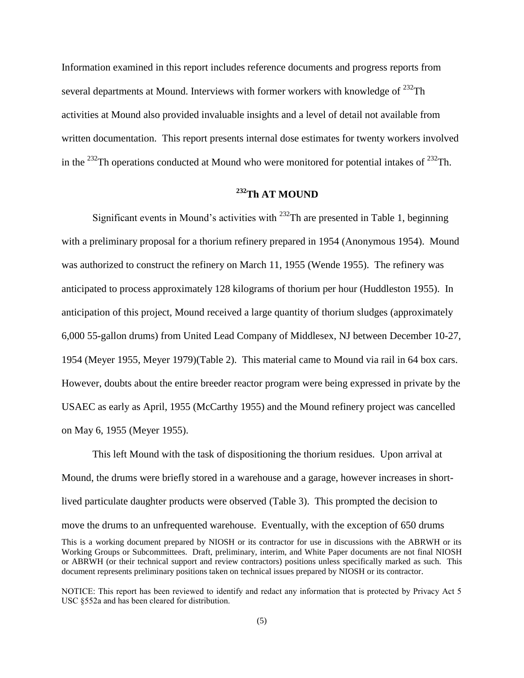Information examined in this report includes reference documents and progress reports from several departments at Mound. Interviews with former workers with knowledge of <sup>232</sup>Th activities at Mound also provided invaluable insights and a level of detail not available from written documentation. This report presents internal dose estimates for twenty workers involved in the  $^{232}$ Th operations conducted at Mound who were monitored for potential intakes of  $^{232}$ Th.

# **<sup>232</sup>Th AT MOUND**

Significant events in Mound's activities with  $^{232}$ Th are presented in Table 1, beginning with a preliminary proposal for a thorium refinery prepared in 1954 [\(Anonymous 1954\)](#page-24-5). Mound was authorized to construct the refinery on March 11, 1955 [\(Wende 1955\)](#page-32-4). The refinery was anticipated to process approximately 128 kilograms of thorium per hour [\(Huddleston 1955\)](#page-26-5). In anticipation of this project, Mound received a large quantity of thorium sludges (approximately 6,000 55-gallon drums) from United Lead Company of Middlesex, NJ between December 10-27, 1954 (Meyer 1955, Meyer 1979)(Table 2). This material came to Mound via rail in 64 box cars. However, doubts about the entire breeder reactor program were being expressed in private by the USAEC as early as April, 1955 [\(McCarthy 1955\)](#page-27-6) and the Mound refinery project was cancelled on May 6, 1955 [\(Meyer 1955\)](#page-28-0).

This is a working document prepared by NIOSH or its contractor for use in discussions with the ABRWH or its Working Groups or Subcommittees. Draft, preliminary, interim, and White Paper documents are not final NIOSH or ABRWH (or their technical support and review contractors) positions unless specifically marked as such. This document represents preliminary positions taken on technical issues prepared by NIOSH or its contractor. This left Mound with the task of dispositioning the thorium residues. Upon arrival at Mound, the drums were briefly stored in a warehouse and a garage, however increases in shortlived particulate daughter products were observed (Table 3). This prompted the decision to move the drums to an unfrequented warehouse. Eventually, with the exception of 650 drums

NOTICE: This report has been reviewed to identify and redact any information that is protected by Privacy Act 5 USC §552a and has been cleared for distribution.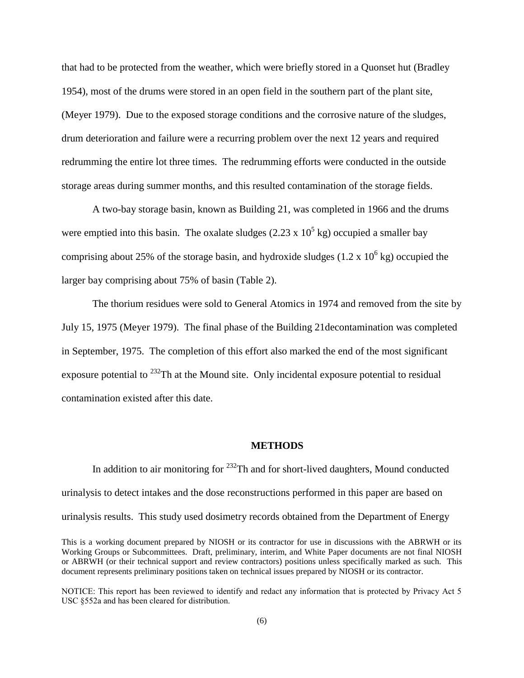that had to be protected from the weather, which were briefly stored in a Quonset hut (Bradley 1954), most of the drums were stored in an open field in the southern part of the plant site, (Meyer 1979). Due to the exposed storage conditions and the corrosive nature of the sludges, drum deterioration and failure were a recurring problem over the next 12 years and required redrumming the entire lot three times. The redrumming efforts were conducted in the outside storage areas during summer months, and this resulted contamination of the storage fields.

A two-bay storage basin, known as Building 21, was completed in 1966 and the drums were emptied into this basin. The oxalate sludges  $(2.23 \times 10^5 \text{ kg})$  occupied a smaller bay comprising about 25% of the storage basin, and hydroxide sludges  $(1.2 \times 10^6 \text{ kg})$  occupied the larger bay comprising about 75% of basin (Table 2).

The thorium residues were sold to General Atomics in 1974 and removed from the site by July 15, 1975 [\(Meyer 1979\)](#page-29-2). The final phase of the Building 21decontamination was completed in September, 1975. The completion of this effort also marked the end of the most significant exposure potential to  $^{232}$ Th at the Mound site. Only incidental exposure potential to residual contamination existed after this date.

#### **METHODS**

In addition to air monitoring for  $^{232}$ Th and for short-lived daughters, Mound conducted urinalysis to detect intakes and the dose reconstructions performed in this paper are based on urinalysis results. This study used dosimetry records obtained from the Department of Energy

This is a working document prepared by NIOSH or its contractor for use in discussions with the ABRWH or its Working Groups or Subcommittees. Draft, preliminary, interim, and White Paper documents are not final NIOSH or ABRWH (or their technical support and review contractors) positions unless specifically marked as such. This document represents preliminary positions taken on technical issues prepared by NIOSH or its contractor.

NOTICE: This report has been reviewed to identify and redact any information that is protected by Privacy Act 5 USC §552a and has been cleared for distribution.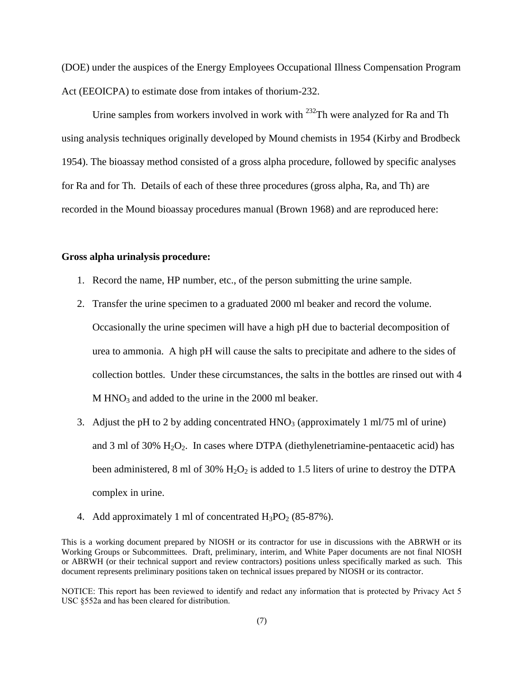(DOE) under the auspices of the Energy Employees Occupational Illness Compensation Program Act (EEOICPA) to estimate dose from intakes of thorium-232.

Urine samples from workers involved in work with  $^{232}$ Th were analyzed for Ra and Th using analysis techniques originally developed by Mound chemists in 1954 [\(Kirby and Brodbeck](#page-27-7)  [1954\)](#page-27-7). The bioassay method consisted of a gross alpha procedure, followed by specific analyses for Ra and for Th. Details of each of these three procedures (gross alpha, Ra, and Th) are recorded in the Mound bioassay procedures manual [\(Brown 1968\)](#page-25-8) and are reproduced here:

# **Gross alpha urinalysis procedure:**

- 1. Record the name, HP number, etc., of the person submitting the urine sample.
- 2. Transfer the urine specimen to a graduated 2000 ml beaker and record the volume. Occasionally the urine specimen will have a high pH due to bacterial decomposition of urea to ammonia. A high pH will cause the salts to precipitate and adhere to the sides of collection bottles. Under these circumstances, the salts in the bottles are rinsed out with 4  $M HNO<sub>3</sub>$  and added to the urine in the 2000 ml beaker.
- 3. Adjust the pH to 2 by adding concentrated  $HNO<sub>3</sub>$  (approximately 1 ml/75 ml of urine) and 3 ml of 30%  $H_2O_2$ . In cases where DTPA (diethylenetriamine-pentaacetic acid) has been administered, 8 ml of 30%  $H_2O_2$  is added to 1.5 liters of urine to destroy the DTPA complex in urine.
- 4. Add approximately 1 ml of concentrated  $H_3PO_2$  (85-87%).

This is a working document prepared by NIOSH or its contractor for use in discussions with the ABRWH or its Working Groups or Subcommittees. Draft, preliminary, interim, and White Paper documents are not final NIOSH or ABRWH (or their technical support and review contractors) positions unless specifically marked as such. This document represents preliminary positions taken on technical issues prepared by NIOSH or its contractor.

NOTICE: This report has been reviewed to identify and redact any information that is protected by Privacy Act 5 USC §552a and has been cleared for distribution.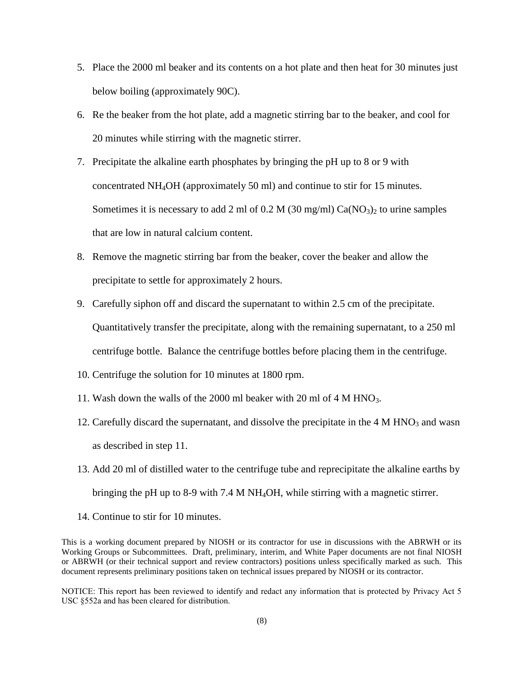- 5. Place the 2000 ml beaker and its contents on a hot plate and then heat for 30 minutes just below boiling (approximately 90C).
- 6. Re the beaker from the hot plate, add a magnetic stirring bar to the beaker, and cool for 20 minutes while stirring with the magnetic stirrer.
- 7. Precipitate the alkaline earth phosphates by bringing the pH up to 8 or 9 with concentrated NH4OH (approximately 50 ml) and continue to stir for 15 minutes. Sometimes it is necessary to add 2 ml of 0.2 M (30 mg/ml)  $Ca(NO<sub>3</sub>)<sub>2</sub>$  to urine samples that are low in natural calcium content.
- 8. Remove the magnetic stirring bar from the beaker, cover the beaker and allow the precipitate to settle for approximately 2 hours.
- 9. Carefully siphon off and discard the supernatant to within 2.5 cm of the precipitate. Quantitatively transfer the precipitate, along with the remaining supernatant, to a 250 ml centrifuge bottle. Balance the centrifuge bottles before placing them in the centrifuge.
- 10. Centrifuge the solution for 10 minutes at 1800 rpm.
- 11. Wash down the walls of the 2000 ml beaker with 20 ml of 4 M HNO<sub>3</sub>.
- 12. Carefully discard the supernatant, and dissolve the precipitate in the  $4 M HNO<sub>3</sub>$  and wasn as described in step 11.
- 13. Add 20 ml of distilled water to the centrifuge tube and reprecipitate the alkaline earths by bringing the pH up to 8-9 with 7.4 M NH4OH, while stirring with a magnetic stirrer.
- 14. Continue to stir for 10 minutes.

This is a working document prepared by NIOSH or its contractor for use in discussions with the ABRWH or its Working Groups or Subcommittees. Draft, preliminary, interim, and White Paper documents are not final NIOSH or ABRWH (or their technical support and review contractors) positions unless specifically marked as such. This document represents preliminary positions taken on technical issues prepared by NIOSH or its contractor.

NOTICE: This report has been reviewed to identify and redact any information that is protected by Privacy Act 5 USC §552a and has been cleared for distribution.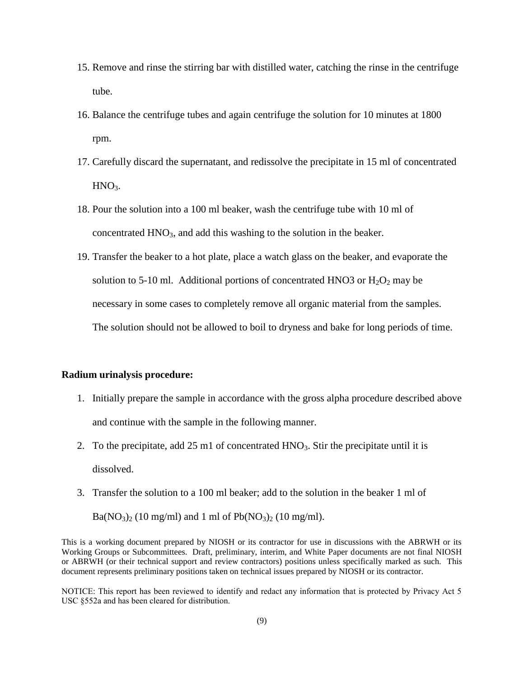- 15. Remove and rinse the stirring bar with distilled water, catching the rinse in the centrifuge tube.
- 16. Balance the centrifuge tubes and again centrifuge the solution for 10 minutes at 1800 rpm.
- 17. Carefully discard the supernatant, and redissolve the precipitate in 15 ml of concentrated  $HNO<sub>3</sub>$ .
- 18. Pour the solution into a 100 ml beaker, wash the centrifuge tube with 10 ml of concentrated  $HNO<sub>3</sub>$ , and add this washing to the solution in the beaker.
- 19. Transfer the beaker to a hot plate, place a watch glass on the beaker, and evaporate the solution to 5-10 ml. Additional portions of concentrated HNO3 or  $H_2O_2$  may be necessary in some cases to completely remove all organic material from the samples. The solution should not be allowed to boil to dryness and bake for long periods of time.

#### **Radium urinalysis procedure:**

- 1. Initially prepare the sample in accordance with the gross alpha procedure described above and continue with the sample in the following manner.
- 2. To the precipitate, add 25 m1 of concentrated  $HNO<sub>3</sub>$ . Stir the precipitate until it is dissolved.
- 3. Transfer the solution to a 100 ml beaker; add to the solution in the beaker 1 ml of

 $Ba(NO_3)_2$  (10 mg/ml) and 1 ml of  $Pb(NO_3)_2$  (10 mg/ml).

This is a working document prepared by NIOSH or its contractor for use in discussions with the ABRWH or its Working Groups or Subcommittees. Draft, preliminary, interim, and White Paper documents are not final NIOSH or ABRWH (or their technical support and review contractors) positions unless specifically marked as such. This document represents preliminary positions taken on technical issues prepared by NIOSH or its contractor.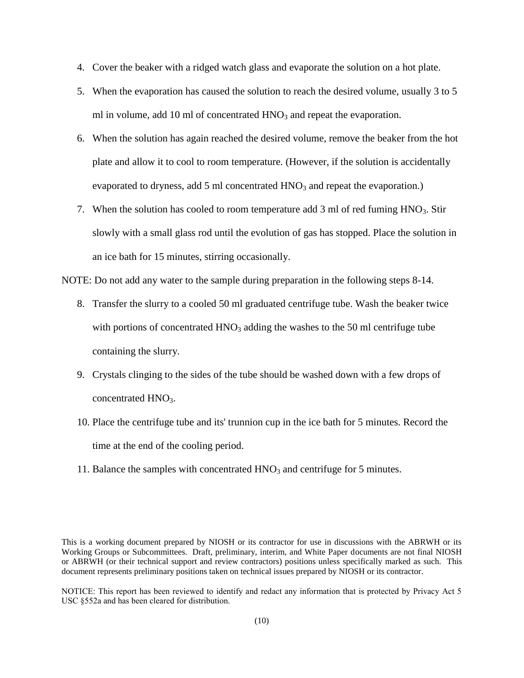- 4. Cover the beaker with a ridged watch glass and evaporate the solution on a hot plate.
- 5. When the evaporation has caused the solution to reach the desired volume, usually 3 to 5 ml in volume, add 10 ml of concentrated  $HNO<sub>3</sub>$  and repeat the evaporation.
- 6. When the solution has again reached the desired volume, remove the beaker from the hot plate and allow it to cool to room temperature. (However, if the solution is accidentally evaporated to dryness, add 5 ml concentrated  $HNO<sub>3</sub>$  and repeat the evaporation.)
- 7. When the solution has cooled to room temperature add  $3 \text{ ml}$  of red fuming  $HNO<sub>3</sub>$ . Stir slowly with a small glass rod until the evolution of gas has stopped. Place the solution in an ice bath for 15 minutes, stirring occasionally.

NOTE: Do not add any water to the sample during preparation in the following steps 8-14.

- 8. Transfer the slurry to a cooled 50 ml graduated centrifuge tube. Wash the beaker twice with portions of concentrated  $HNO<sub>3</sub>$  adding the washes to the 50 ml centrifuge tube containing the slurry.
- 9. Crystals clinging to the sides of the tube should be washed down with a few drops of concentrated  $HNO<sub>3</sub>$ .
- 10. Place the centrifuge tube and its' trunnion cup in the ice bath for 5 minutes. Record the time at the end of the cooling period.
- 11. Balance the samples with concentrated  $HNO<sub>3</sub>$  and centrifuge for 5 minutes.

This is a working document prepared by NIOSH or its contractor for use in discussions with the ABRWH or its Working Groups or Subcommittees. Draft, preliminary, interim, and White Paper documents are not final NIOSH or ABRWH (or their technical support and review contractors) positions unless specifically marked as such. This document represents preliminary positions taken on technical issues prepared by NIOSH or its contractor.

NOTICE: This report has been reviewed to identify and redact any information that is protected by Privacy Act 5 USC §552a and has been cleared for distribution.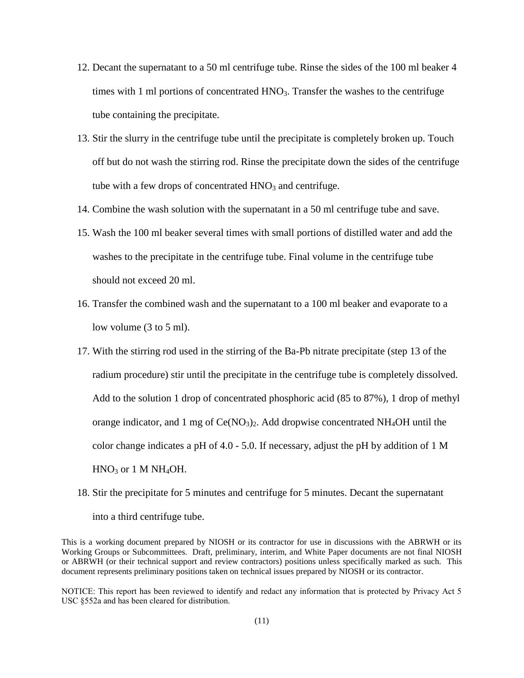- 12. Decant the supernatant to a 50 ml centrifuge tube. Rinse the sides of the 100 ml beaker 4 times with 1 ml portions of concentrated  $HNO<sub>3</sub>$ . Transfer the washes to the centrifuge tube containing the precipitate.
- 13. Stir the slurry in the centrifuge tube until the precipitate is completely broken up. Touch off but do not wash the stirring rod. Rinse the precipitate down the sides of the centrifuge tube with a few drops of concentrated  $HNO<sub>3</sub>$  and centrifuge.
- 14. Combine the wash solution with the supernatant in a 50 ml centrifuge tube and save.
- 15. Wash the 100 ml beaker several times with small portions of distilled water and add the washes to the precipitate in the centrifuge tube. Final volume in the centrifuge tube should not exceed 20 ml.
- 16. Transfer the combined wash and the supernatant to a 100 ml beaker and evaporate to a low volume (3 to 5 ml).
- 17. With the stirring rod used in the stirring of the Ba-Pb nitrate precipitate (step 13 of the radium procedure) stir until the precipitate in the centrifuge tube is completely dissolved. Add to the solution 1 drop of concentrated phosphoric acid (85 to 87%), 1 drop of methyl orange indicator, and 1 mg of  $Ce(NO<sub>3</sub>)<sub>2</sub>$ . Add dropwise concentrated NH<sub>4</sub>OH until the color change indicates a pH of 4.0 - 5.0. If necessary, adjust the pH by addition of 1 M  $HNO<sub>3</sub>$  or 1 M NH<sub>4</sub>OH.
- 18. Stir the precipitate for 5 minutes and centrifuge for 5 minutes. Decant the supernatant into a third centrifuge tube.

This is a working document prepared by NIOSH or its contractor for use in discussions with the ABRWH or its Working Groups or Subcommittees. Draft, preliminary, interim, and White Paper documents are not final NIOSH or ABRWH (or their technical support and review contractors) positions unless specifically marked as such. This document represents preliminary positions taken on technical issues prepared by NIOSH or its contractor.

NOTICE: This report has been reviewed to identify and redact any information that is protected by Privacy Act 5 USC §552a and has been cleared for distribution.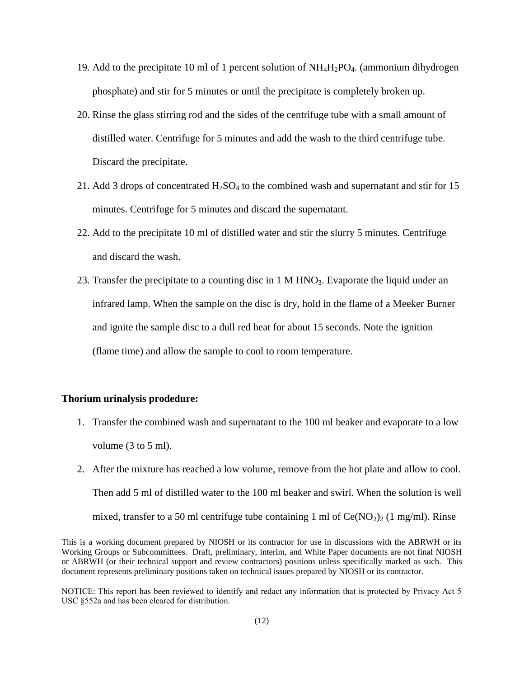- 19. Add to the precipitate 10 ml of 1 percent solution of  $NH<sub>4</sub>H<sub>2</sub>PO<sub>4</sub>$ . (ammonium dihydrogen phosphate) and stir for 5 minutes or until the precipitate is completely broken up.
- 20. Rinse the glass stirring rod and the sides of the centrifuge tube with a small amount of distilled water. Centrifuge for 5 minutes and add the wash to the third centrifuge tube. Discard the precipitate.
- 21. Add 3 drops of concentrated  $H_2SO_4$  to the combined wash and supernatant and stir for 15 minutes. Centrifuge for 5 minutes and discard the supernatant.
- 22. Add to the precipitate 10 ml of distilled water and stir the slurry 5 minutes. Centrifuge and discard the wash.
- 23. Transfer the precipitate to a counting disc in  $1 \text{ M HNO}_3$ . Evaporate the liquid under an infrared lamp. When the sample on the disc is dry, hold in the flame of a Meeker Burner and ignite the sample disc to a dull red heat for about 15 seconds. Note the ignition (flame time) and allow the sample to cool to room temperature.

# **Thorium urinalysis prodedure:**

- 1. Transfer the combined wash and supernatant to the 100 ml beaker and evaporate to a low volume (3 to 5 ml).
- 2. After the mixture has reached a low volume, remove from the hot plate and allow to cool. Then add 5 ml of distilled water to the 100 ml beaker and swirl. When the solution is well mixed, transfer to a 50 ml centrifuge tube containing 1 ml of  $Ce(NO<sub>3</sub>)<sub>2</sub>$  (1 mg/ml). Rinse

This is a working document prepared by NIOSH or its contractor for use in discussions with the ABRWH or its Working Groups or Subcommittees. Draft, preliminary, interim, and White Paper documents are not final NIOSH or ABRWH (or their technical support and review contractors) positions unless specifically marked as such. This document represents preliminary positions taken on technical issues prepared by NIOSH or its contractor.

NOTICE: This report has been reviewed to identify and redact any information that is protected by Privacy Act 5 USC §552a and has been cleared for distribution.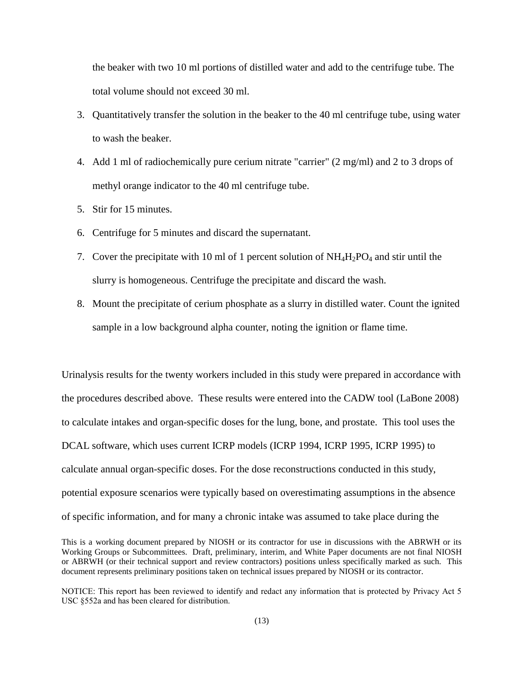the beaker with two 10 ml portions of distilled water and add to the centrifuge tube. The total volume should not exceed 30 ml.

- 3. Quantitatively transfer the solution in the beaker to the 40 ml centrifuge tube, using water to wash the beaker.
- 4. Add 1 ml of radiochemically pure cerium nitrate "carrier" (2 mg/ml) and 2 to 3 drops of methyl orange indicator to the 40 ml centrifuge tube.
- 5. Stir for 15 minutes.
- 6. Centrifuge for 5 minutes and discard the supernatant.
- 7. Cover the precipitate with 10 ml of 1 percent solution of  $NH_4H_2PO_4$  and stir until the slurry is homogeneous. Centrifuge the precipitate and discard the wash.
- 8. Mount the precipitate of cerium phosphate as a slurry in distilled water. Count the ignited sample in a low background alpha counter, noting the ignition or flame time.

Urinalysis results for the twenty workers included in this study were prepared in accordance with the procedures described above. These results were entered into the CADW tool [\(LaBone 2008\)](#page-27-8) to calculate intakes and organ-specific doses for the lung, bone, and prostate. This tool uses the DCAL software, which uses current ICRP models [\(ICRP 1994,](#page-26-6) [ICRP 1995,](#page-30-0) [ICRP 1995\)](#page-30-5) to calculate annual organ-specific doses. For the dose reconstructions conducted in this study, potential exposure scenarios were typically based on overestimating assumptions in the absence of specific information, and for many a chronic intake was assumed to take place during the

This is a working document prepared by NIOSH or its contractor for use in discussions with the ABRWH or its Working Groups or Subcommittees. Draft, preliminary, interim, and White Paper documents are not final NIOSH or ABRWH (or their technical support and review contractors) positions unless specifically marked as such. This document represents preliminary positions taken on technical issues prepared by NIOSH or its contractor.

NOTICE: This report has been reviewed to identify and redact any information that is protected by Privacy Act 5 USC §552a and has been cleared for distribution.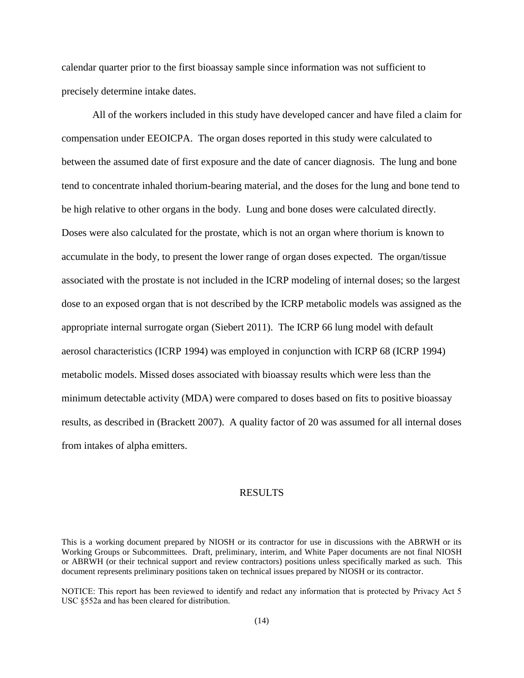calendar quarter prior to the first bioassay sample since information was not sufficient to precisely determine intake dates.

All of the workers included in this study have developed cancer and have filed a claim for compensation under EEOICPA. The organ doses reported in this study were calculated to between the assumed date of first exposure and the date of cancer diagnosis. The lung and bone tend to concentrate inhaled thorium-bearing material, and the doses for the lung and bone tend to be high relative to other organs in the body. Lung and bone doses were calculated directly. Doses were also calculated for the prostate, which is not an organ where thorium is known to accumulate in the body, to present the lower range of organ doses expected. The organ/tissue associated with the prostate is not included in the ICRP modeling of internal doses; so the largest dose to an exposed organ that is not described by the ICRP metabolic models was assigned as the appropriate internal surrogate organ [\(Siebert 2011\)](#page-30-6). The ICRP 66 lung model with default aerosol characteristics [\(ICRP 1994\)](#page-26-6) was employed in conjunction with ICRP 68 [\(ICRP 1994\)](#page-26-7) metabolic models. Missed doses associated with bioassay results which were less than the minimum detectable activity (MDA) were compared to doses based on fits to positive bioassay results, as described in [\(Brackett 2007\)](#page-24-6). A quality factor of 20 was assumed for all internal doses from intakes of alpha emitters.

#### RESULTS

This is a working document prepared by NIOSH or its contractor for use in discussions with the ABRWH or its Working Groups or Subcommittees. Draft, preliminary, interim, and White Paper documents are not final NIOSH or ABRWH (or their technical support and review contractors) positions unless specifically marked as such. This document represents preliminary positions taken on technical issues prepared by NIOSH or its contractor.

NOTICE: This report has been reviewed to identify and redact any information that is protected by Privacy Act 5 USC §552a and has been cleared for distribution.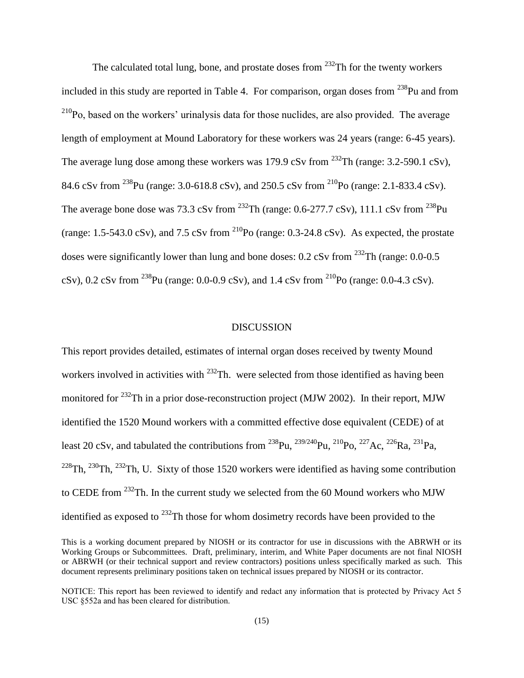The calculated total lung, bone, and prostate doses from  $232$ Th for the twenty workers included in this study are reported in Table 4. For comparison, organ doses from  $^{238}$ Pu and from  $^{210}$ Po, based on the workers' urinalysis data for those nuclides, are also provided. The average length of employment at Mound Laboratory for these workers was 24 years (range: 6-45 years). The average lung dose among these workers was 179.9 cSv from  $^{232}$ Th (range: 3.2-590.1 cSv), 84.6 cSv from <sup>238</sup>Pu (range: 3.0-618.8 cSv), and 250.5 cSv from <sup>210</sup>Po (range: 2.1-833.4 cSv). The average bone dose was 73.3 cSv from  $^{232}$ Th (range: 0.6-277.7 cSv), 111.1 cSv from  $^{238}$ Pu (range: 1.5-543.0 cSv), and 7.5 cSv from  $^{210}Po$  (range: 0.3-24.8 cSv). As expected, the prostate doses were significantly lower than lung and bone doses:  $0.2$  cSv from <sup>232</sup>Th (range:  $0.0$ - $0.5$ ) cSv), 0.2 cSv from <sup>238</sup>Pu (range: 0.0-0.9 cSv), and 1.4 cSv from <sup>210</sup>Po (range: 0.0-4.3 cSv).

# **DISCUSSION**

This report provides detailed, estimates of internal organ doses received by twenty Mound workers involved in activities with  $^{232}$ Th. were selected from those identified as having been monitored for <sup>232</sup>Th in a prior dose-reconstruction project [\(MJW 2002\)](#page-29-1). In their report, MJW identified the 1520 Mound workers with a committed effective dose equivalent (CEDE) of at least 20 cSv, and tabulated the contributions from <sup>238</sup>Pu, <sup>239/240</sup>Pu, <sup>210</sup>Po, <sup>227</sup>Ac, <sup>226</sup>Ra, <sup>231</sup>Pa,  $^{228}$ Th,  $^{230}$ Th,  $^{232}$ Th, U. Sixty of those 1520 workers were identified as having some contribution to CEDE from <sup>232</sup>Th. In the current study we selected from the 60 Mound workers who MJW identified as exposed to  $^{232}$ Th those for whom dosimetry records have been provided to the

This is a working document prepared by NIOSH or its contractor for use in discussions with the ABRWH or its Working Groups or Subcommittees. Draft, preliminary, interim, and White Paper documents are not final NIOSH or ABRWH (or their technical support and review contractors) positions unless specifically marked as such. This document represents preliminary positions taken on technical issues prepared by NIOSH or its contractor.

NOTICE: This report has been reviewed to identify and redact any information that is protected by Privacy Act 5 USC §552a and has been cleared for distribution.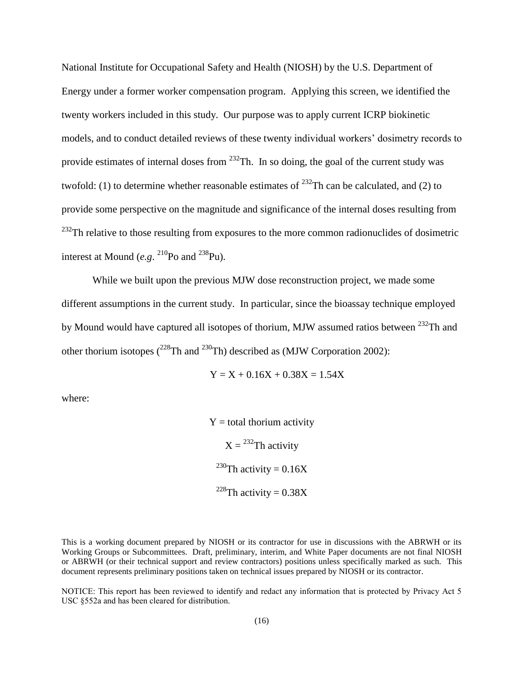National Institute for Occupational Safety and Health (NIOSH) by the U.S. Department of Energy under a former worker compensation program. Applying this screen, we identified the twenty workers included in this study. Our purpose was to apply current ICRP biokinetic models, and to conduct detailed reviews of these twenty individual workers' dosimetry records to provide estimates of internal doses from  $^{232}$ Th. In so doing, the goal of the current study was twofold: (1) to determine whether reasonable estimates of  $^{232}$ Th can be calculated, and (2) to provide some perspective on the magnitude and significance of the internal doses resulting from  $^{232}$ Th relative to those resulting from exposures to the more common radionuclides of dosimetric interest at Mound  $(e.g.$  <sup>210</sup>Po and <sup>238</sup>Pu).

While we built upon the previous MJW dose reconstruction project, we made some different assumptions in the current study. In particular, since the bioassay technique employed by Mound would have captured all isotopes of thorium, MJW assumed ratios between <sup>232</sup>Th and other thorium isotopes  $(^{228}Th$  and  $^{230}Th)$  described as [\(MJW Corporation 2002\)](#page-29-1):

 $Y = X + 0.16X + 0.38X = 1.54X$ 

where:

 $Y =$  total thorium activity  $X = {}^{232}Th$  activity <sup>230</sup>Th activity =  $0.16X$ <sup>228</sup>Th activity =  $0.38X$ 

This is a working document prepared by NIOSH or its contractor for use in discussions with the ABRWH or its Working Groups or Subcommittees. Draft, preliminary, interim, and White Paper documents are not final NIOSH or ABRWH (or their technical support and review contractors) positions unless specifically marked as such. This document represents preliminary positions taken on technical issues prepared by NIOSH or its contractor.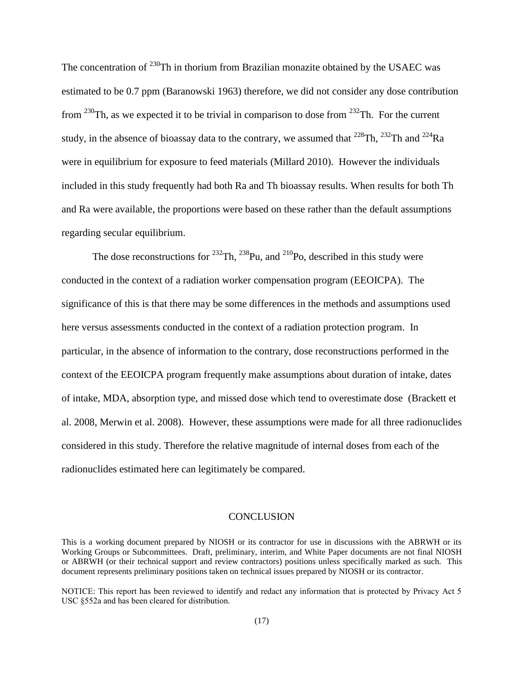The concentration of  $^{230}$ Th in thorium from Brazilian monazite obtained by the USAEC was estimated to be 0.7 ppm [\(Baranowski 1963\)](#page-24-7) therefore, we did not consider any dose contribution from  $^{230}$ Th, as we expected it to be trivial in comparison to dose from  $^{232}$ Th. For the current study, in the absence of bioassay data to the contrary, we assumed that  $^{228}$ Th,  $^{232}$ Th and  $^{224}$ Ra were in equilibrium for exposure to feed materials [\(Millard 2010\)](#page-29-3). However the individuals included in this study frequently had both Ra and Th bioassay results. When results for both Th and Ra were available, the proportions were based on these rather than the default assumptions regarding secular equilibrium.

The dose reconstructions for  $^{232}$ Th,  $^{238}$ Pu, and  $^{210}$ Po, described in this study were conducted in the context of a radiation worker compensation program (EEOICPA). The significance of this is that there may be some differences in the methods and assumptions used here versus assessments conducted in the context of a radiation protection program. In particular, in the absence of information to the contrary, dose reconstructions performed in the context of the EEOICPA program frequently make assumptions about duration of intake, dates of intake, MDA, absorption type, and missed dose which tend to overestimate dose [\(Brackett et](#page-24-8)  [al. 2008,](#page-24-8) [Merwin et al. 2008\)](#page-27-9). However, these assumptions were made for all three radionuclides considered in this study. Therefore the relative magnitude of internal doses from each of the radionuclides estimated here can legitimately be compared.

#### **CONCLUSION**

This is a working document prepared by NIOSH or its contractor for use in discussions with the ABRWH or its Working Groups or Subcommittees. Draft, preliminary, interim, and White Paper documents are not final NIOSH or ABRWH (or their technical support and review contractors) positions unless specifically marked as such. This document represents preliminary positions taken on technical issues prepared by NIOSH or its contractor.

NOTICE: This report has been reviewed to identify and redact any information that is protected by Privacy Act 5 USC §552a and has been cleared for distribution.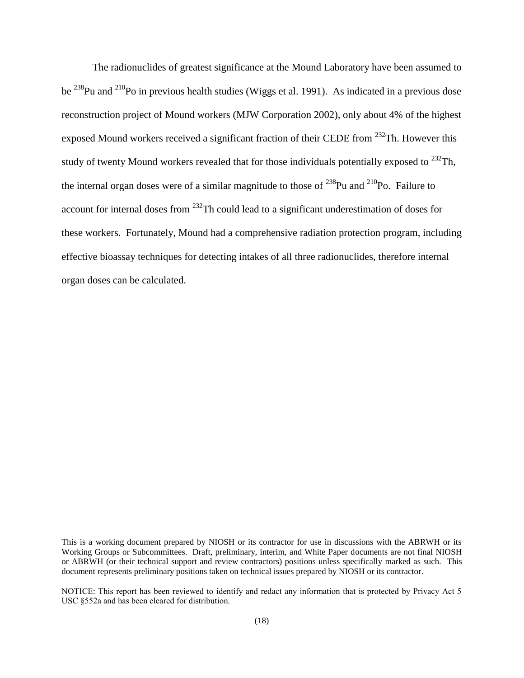The radionuclides of greatest significance at the Mound Laboratory have been assumed to be <sup>238</sup>Pu and <sup>210</sup>Po in previous health studies [\(Wiggs et al. 1991\)](#page-32-2). As indicated in a previous dose reconstruction project of Mound workers [\(MJW Corporation 2002\)](#page-29-1), only about 4% of the highest exposed Mound workers received a significant fraction of their CEDE from <sup>232</sup>Th. However this study of twenty Mound workers revealed that for those individuals potentially exposed to  $^{232}$ Th, the internal organ doses were of a similar magnitude to those of  $^{238}$ Pu and  $^{210}$ Po. Failure to account for internal doses from <sup>232</sup>Th could lead to a significant underestimation of doses for these workers. Fortunately, Mound had a comprehensive radiation protection program, including effective bioassay techniques for detecting intakes of all three radionuclides, therefore internal organ doses can be calculated.

This is a working document prepared by NIOSH or its contractor for use in discussions with the ABRWH or its Working Groups or Subcommittees. Draft, preliminary, interim, and White Paper documents are not final NIOSH or ABRWH (or their technical support and review contractors) positions unless specifically marked as such. This document represents preliminary positions taken on technical issues prepared by NIOSH or its contractor.

NOTICE: This report has been reviewed to identify and redact any information that is protected by Privacy Act 5 USC §552a and has been cleared for distribution.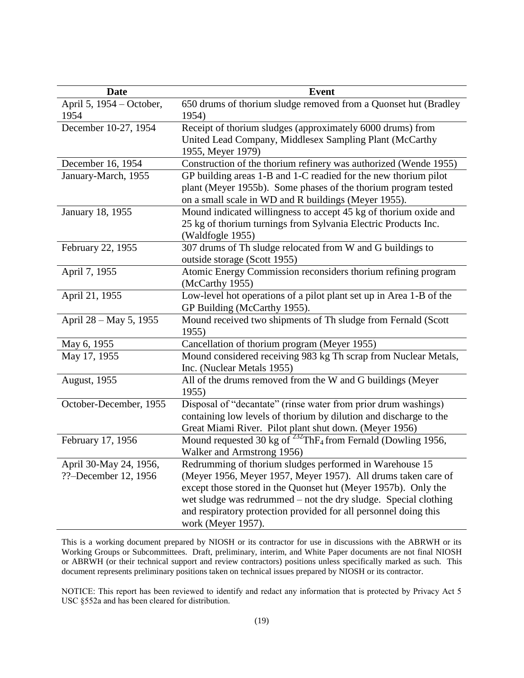| <b>Date</b>                                    | <b>Event</b>                                                                                                                                                                                                                                                                                                                                            |
|------------------------------------------------|---------------------------------------------------------------------------------------------------------------------------------------------------------------------------------------------------------------------------------------------------------------------------------------------------------------------------------------------------------|
| April 5, 1954 – October,<br>1954               | 650 drums of thorium sludge removed from a Quonset hut (Bradley<br>1954)                                                                                                                                                                                                                                                                                |
| December 10-27, 1954                           | Receipt of thorium sludges (approximately 6000 drums) from<br>United Lead Company, Middlesex Sampling Plant (McCarthy<br>1955, Meyer 1979)                                                                                                                                                                                                              |
| December 16, 1954                              | Construction of the thorium refinery was authorized (Wende 1955)                                                                                                                                                                                                                                                                                        |
| January-March, 1955                            | GP building areas 1-B and 1-C readied for the new thorium pilot<br>plant (Meyer 1955b). Some phases of the thorium program tested<br>on a small scale in WD and R buildings (Meyer 1955).                                                                                                                                                               |
| January 18, 1955                               | Mound indicated willingness to accept 45 kg of thorium oxide and<br>25 kg of thorium turnings from Sylvania Electric Products Inc.<br>(Waldfogle 1955)                                                                                                                                                                                                  |
| February 22, 1955                              | 307 drums of Th sludge relocated from W and G buildings to<br>outside storage (Scott 1955)                                                                                                                                                                                                                                                              |
| April 7, 1955                                  | Atomic Energy Commission reconsiders thorium refining program<br>(McCarthy 1955)                                                                                                                                                                                                                                                                        |
| April 21, 1955                                 | Low-level hot operations of a pilot plant set up in Area 1-B of the<br>GP Building (McCarthy 1955).                                                                                                                                                                                                                                                     |
| April 28 – May 5, 1955                         | Mound received two shipments of Th sludge from Fernald (Scott<br>1955)                                                                                                                                                                                                                                                                                  |
| May 6, 1955                                    | Cancellation of thorium program (Meyer 1955)                                                                                                                                                                                                                                                                                                            |
| May 17, 1955                                   | Mound considered receiving 983 kg Th scrap from Nuclear Metals,<br>Inc. (Nuclear Metals 1955)                                                                                                                                                                                                                                                           |
| August, 1955                                   | All of the drums removed from the W and G buildings (Meyer<br>1955)                                                                                                                                                                                                                                                                                     |
| October-December, 1955                         | Disposal of "decantate" (rinse water from prior drum washings)<br>containing low levels of thorium by dilution and discharge to the<br>Great Miami River. Pilot plant shut down. (Meyer 1956)                                                                                                                                                           |
| February 17, 1956                              | Mound requested 30 kg of <sup>232</sup> ThF <sub>4</sub> from Fernald (Dowling 1956,<br>Walker and Armstrong 1956)                                                                                                                                                                                                                                      |
| April 30-May 24, 1956,<br>??-December 12, 1956 | Redrumming of thorium sludges performed in Warehouse 15<br>(Meyer 1956, Meyer 1957, Meyer 1957). All drums taken care of<br>except those stored in the Quonset hut (Meyer 1957b). Only the<br>wet sludge was redrummed – not the dry sludge. Special clothing<br>and respiratory protection provided for all personnel doing this<br>work (Meyer 1957). |

This is a working document prepared by NIOSH or its contractor for use in discussions with the ABRWH or its Working Groups or Subcommittees. Draft, preliminary, interim, and White Paper documents are not final NIOSH or ABRWH (or their technical support and review contractors) positions unless specifically marked as such. This document represents preliminary positions taken on technical issues prepared by NIOSH or its contractor.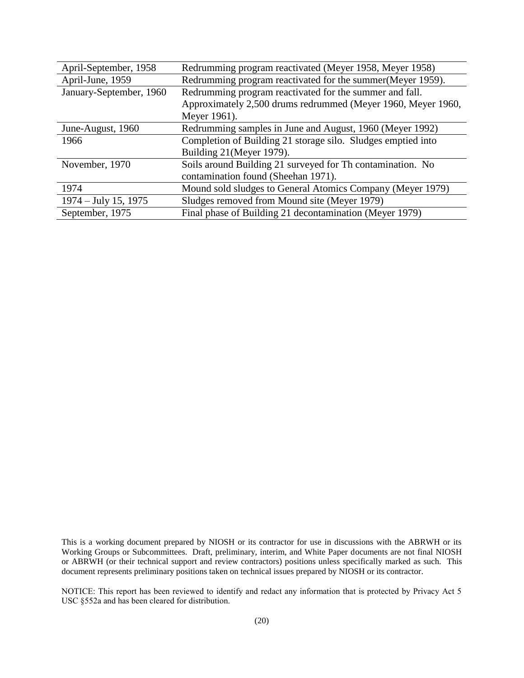| April-September, 1958   | Redrumming program reactivated (Meyer 1958, Meyer 1958)      |
|-------------------------|--------------------------------------------------------------|
| April-June, 1959        | Redrumming program reactivated for the summer (Meyer 1959).  |
| January-September, 1960 | Redrumming program reactivated for the summer and fall.      |
|                         | Approximately 2,500 drums redrummed (Meyer 1960, Meyer 1960, |
|                         | Meyer 1961).                                                 |
| June-August, 1960       | Redrumming samples in June and August, 1960 (Meyer 1992)     |
| 1966                    | Completion of Building 21 storage silo. Sludges emptied into |
|                         | Building 21 (Meyer 1979).                                    |
| November, 1970          | Soils around Building 21 surveyed for Th contamination. No   |
|                         | contamination found (Sheehan 1971).                          |
| 1974                    | Mound sold sludges to General Atomics Company (Meyer 1979)   |
| $1974 - July 15, 1975$  | Sludges removed from Mound site (Meyer 1979)                 |
| September, 1975         | Final phase of Building 21 decontamination (Meyer 1979)      |

This is a working document prepared by NIOSH or its contractor for use in discussions with the ABRWH or its Working Groups or Subcommittees. Draft, preliminary, interim, and White Paper documents are not final NIOSH or ABRWH (or their technical support and review contractors) positions unless specifically marked as such. This document represents preliminary positions taken on technical issues prepared by NIOSH or its contractor.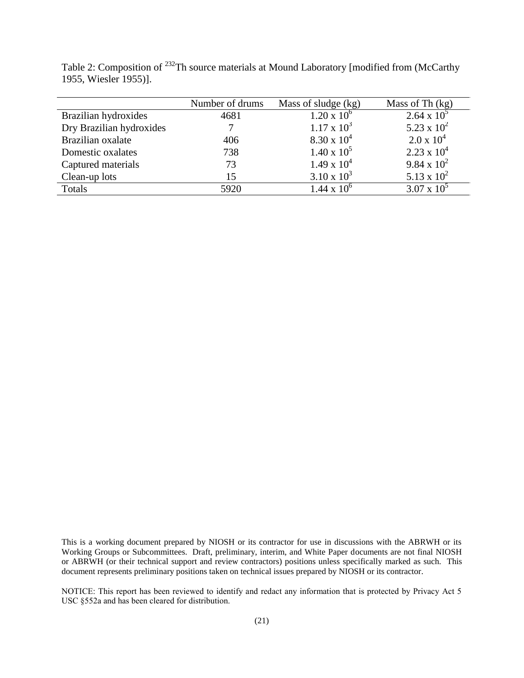|                          | Number of drums | Mass of sludge (kg)  | Mass of Th $(kg)$    |
|--------------------------|-----------------|----------------------|----------------------|
| Brazilian hydroxides     | 4681            | $1.20 \times 10^{6}$ | $2.64 \times 10^{5}$ |
| Dry Brazilian hydroxides |                 | $1.17 \times 10^3$   | 5.23 x $10^2$        |
| Brazilian oxalate        | 406             | $8.30 \times 10^{4}$ | $2.0 \times 10^4$    |
| Domestic oxalates        | 738             | $1.40 \times 10^5$   | $2.23 \times 10^4$   |
| Captured materials       | 73              | $1.49 \times 10^{4}$ | 9.84 x $10^2$        |
| Clean-up lots            | 15              | $3.10 \times 10^3$   | 5.13 x $10^2$        |
| Totals                   | 5920            | $1.44 \times 10^{6}$ | $3.07 \times 10^5$   |

Table 2: Composition of <sup>232</sup>Th source materials at Mound Laboratory [modified from (McCarthy [1955,](#page-27-10) [Wiesler 1955\)](#page-32-7)].

This is a working document prepared by NIOSH or its contractor for use in discussions with the ABRWH or its Working Groups or Subcommittees. Draft, preliminary, interim, and White Paper documents are not final NIOSH or ABRWH (or their technical support and review contractors) positions unless specifically marked as such. This document represents preliminary positions taken on technical issues prepared by NIOSH or its contractor.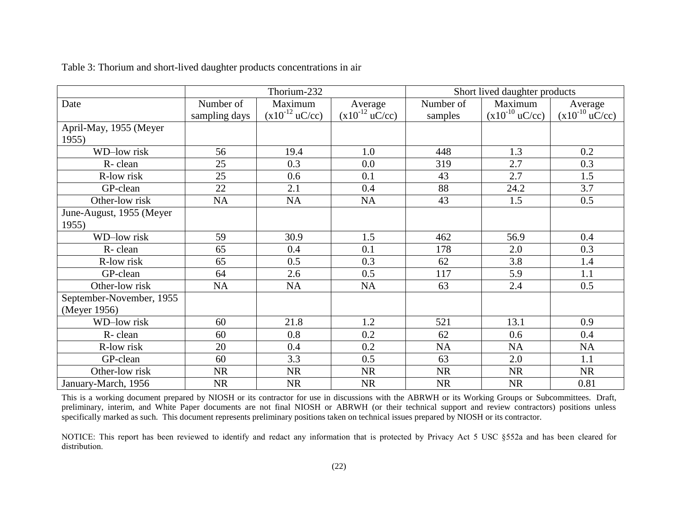|                          |               | Thorium-232                 |                             | Short lived daughter products |                             |                             |  |
|--------------------------|---------------|-----------------------------|-----------------------------|-------------------------------|-----------------------------|-----------------------------|--|
| Date                     | Number of     | Maximum                     | Average                     | Number of                     | Maximum                     | Average                     |  |
|                          | sampling days | $(x10^{-12} \text{ uC/cc})$ | $(x10^{-12} \text{ uC/cc})$ | samples                       | $(x10^{-10} \text{ uC/cc})$ | $(x10^{-10} \text{ uC/cc})$ |  |
| April-May, 1955 (Meyer   |               |                             |                             |                               |                             |                             |  |
| 1955)                    |               |                             |                             |                               |                             |                             |  |
| WD-low risk              | 56            | 19.4                        | 1.0                         | 448                           | 1.3                         | 0.2                         |  |
| R-clean                  | 25            | 0.3                         | 0.0                         | 319                           | 2.7                         | 0.3                         |  |
| R-low risk               | 25            | 0.6                         | 0.1                         | 43                            | 2.7                         | 1.5                         |  |
| GP-clean                 | 22            | 2.1                         | 0.4                         | 88                            | 24.2                        | 3.7                         |  |
| Other-low risk           | <b>NA</b>     | <b>NA</b>                   | <b>NA</b>                   | 43                            | 1.5                         | 0.5                         |  |
| June-August, 1955 (Meyer |               |                             |                             |                               |                             |                             |  |
| 1955)                    |               |                             |                             |                               |                             |                             |  |
| <b>WD-low risk</b>       | 59            | 30.9                        | 1.5                         | 462                           | 56.9                        | 0.4                         |  |
| R-clean                  | 65            | 0.4                         | 0.1                         | 178                           | 2.0                         | 0.3                         |  |
| R-low risk               | 65            | 0.5                         | 0.3                         | 62                            | 3.8                         | 1.4                         |  |
| GP-clean                 | 64            | 2.6                         | 0.5                         | 117                           | 5.9                         | 1.1                         |  |
| Other-low risk           | NA            | <b>NA</b>                   | <b>NA</b>                   | 63                            | 2.4                         | 0.5                         |  |
| September-November, 1955 |               |                             |                             |                               |                             |                             |  |
| (Meyer 1956)             |               |                             |                             |                               |                             |                             |  |
| WD-low risk              | 60            | 21.8                        | 1.2                         | 521                           | 13.1                        | 0.9                         |  |
| R-clean                  | 60            | 0.8                         | 0.2                         | 62                            | 0.6                         | 0.4                         |  |
| R-low risk               | 20            | 0.4                         | 0.2                         | NA                            | <b>NA</b>                   | NA                          |  |
| GP-clean                 | 60            | 3.3                         | 0.5                         | 63                            | 2.0                         | 1.1                         |  |
| Other-low risk           | <b>NR</b>     | <b>NR</b>                   | <b>NR</b>                   | <b>NR</b>                     | <b>NR</b>                   | <b>NR</b>                   |  |
| January-March, 1956      | <b>NR</b>     | <b>NR</b>                   | <b>NR</b>                   | <b>NR</b>                     | <b>NR</b>                   | 0.81                        |  |

Table 3: Thorium and short-lived daughter products concentrations in air

This is a working document prepared by NIOSH or its contractor for use in discussions with the ABRWH or its Working Groups or Subcommittees. Draft, preliminary, interim, and White Paper documents are not final NIOSH or ABRWH (or their technical support and review contractors) positions unless specifically marked as such. This document represents preliminary positions taken on technical issues prepared by NIOSH or its contractor.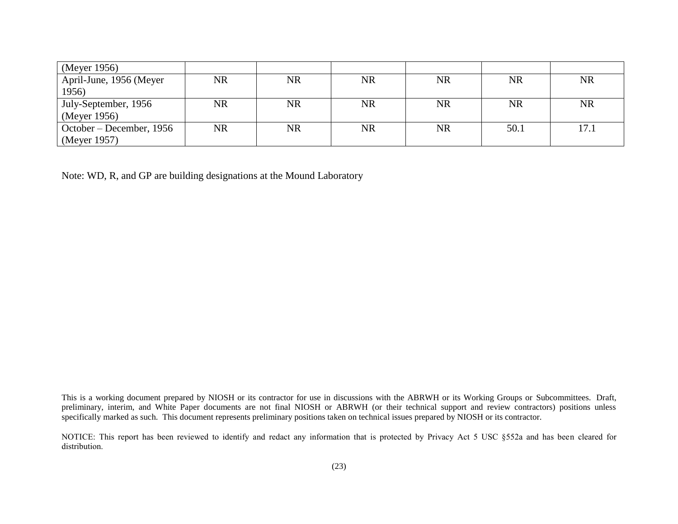| (Meyer 1956)             |           |           |           |           |           |           |
|--------------------------|-----------|-----------|-----------|-----------|-----------|-----------|
| April-June, 1956 (Meyer  | NR        | NR        | <b>NR</b> | <b>NR</b> | <b>NR</b> | <b>NR</b> |
| 1956)                    |           |           |           |           |           |           |
| July-September, 1956     | <b>NR</b> | <b>NR</b> | <b>NR</b> | <b>NR</b> | <b>NR</b> | <b>NR</b> |
| (Meyer 1956)             |           |           |           |           |           |           |
| October – December, 1956 | <b>NR</b> | NR        | <b>NR</b> | <b>NR</b> | 50.1      | 17.1      |
| (Meyer 1957)             |           |           |           |           |           |           |

Note: WD, R, and GP are building designations at the Mound Laboratory

This is a working document prepared by NIOSH or its contractor for use in discussions with the ABRWH or its Working Groups or Subcommittees. Draft, preliminary, interim, and White Paper documents are not final NIOSH or ABRWH (or their technical support and review contractors) positions unless specifically marked as such. This document represents preliminary positions taken on technical issues prepared by NIOSH or its contractor.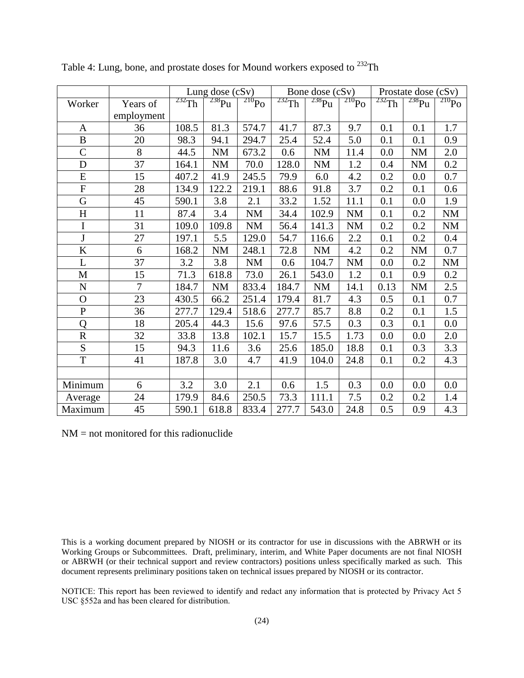|                           |                | Lung dose $(cSv)$ |                 |            | Bone dose (cSv) |                   |                  | Prostate dose (cSv) |             |                      |
|---------------------------|----------------|-------------------|-----------------|------------|-----------------|-------------------|------------------|---------------------|-------------|----------------------|
| Worker                    | Years of       | $232$ Th          | $^{238}\rm{Pu}$ | $^{210}Po$ | $^{232}$ Th     | 238P <sub>u</sub> | $\frac{210}{PQ}$ | $232$ Th            | $^{238}$ Pu | $\frac{210}{210}P_0$ |
|                           | employment     |                   |                 |            |                 |                   |                  |                     |             |                      |
| $\mathbf{A}$              | 36             | 108.5             | 81.3            | 574.7      | 41.7            | 87.3              | 9.7              | 0.1                 | 0.1         | 1.7                  |
| $\bf{B}$                  | 20             | 98.3              | 94.1            | 294.7      | 25.4            | 52.4              | 5.0              | 0.1                 | 0.1         | 0.9                  |
| $\mathsf{C}$              | 8              | 44.5              | <b>NM</b>       | 673.2      | 0.6             | <b>NM</b>         | 11.4             | 0.0                 | <b>NM</b>   | 2.0                  |
| D                         | 37             | 164.1             | <b>NM</b>       | 70.0       | 128.0           | <b>NM</b>         | 1.2              | 0.4                 | <b>NM</b>   | 0.2                  |
| E                         | 15             | 407.2             | 41.9            | 245.5      | 79.9            | 6.0               | 4.2              | 0.2                 | 0.0         | 0.7                  |
| ${\bf F}$                 | 28             | 134.9             | 122.2           | 219.1      | 88.6            | 91.8              | 3.7              | 0.2                 | 0.1         | 0.6                  |
| $\mathbf G$               | 45             | 590.1             | 3.8             | 2.1        | 33.2            | 1.52              | 11.1             | 0.1                 | 0.0         | 1.9                  |
| $\boldsymbol{\mathrm{H}}$ | 11             | 87.4              | 3.4             | <b>NM</b>  | 34.4            | 102.9             | <b>NM</b>        | 0.1                 | 0.2         | <b>NM</b>            |
| I                         | 31             | 109.0             | 109.8           | <b>NM</b>  | 56.4            | 141.3             | <b>NM</b>        | 0.2                 | 0.2         | <b>NM</b>            |
| J                         | 27             | 197.1             | 5.5             | 129.0      | 54.7            | 116.6             | 2.2              | 0.1                 | 0.2         | 0.4                  |
| $\bf K$                   | 6              | 168.2             | <b>NM</b>       | 248.1      | 72.8            | <b>NM</b>         | 4.2              | 0.2                 | <b>NM</b>   | 0.7                  |
| L                         | 37             | 3.2               | 3.8             | <b>NM</b>  | 0.6             | 104.7             | <b>NM</b>        | 0.0                 | 0.2         | <b>NM</b>            |
| M                         | 15             | 71.3              | 618.8           | 73.0       | 26.1            | 543.0             | 1.2              | 0.1                 | 0.9         | 0.2                  |
| ${\bf N}$                 | $\overline{7}$ | 184.7             | <b>NM</b>       | 833.4      | 184.7           | <b>NM</b>         | 14.1             | 0.13                | <b>NM</b>   | 2.5                  |
| $\mathbf O$               | 23             | 430.5             | 66.2            | 251.4      | 179.4           | 81.7              | 4.3              | 0.5                 | 0.1         | 0.7                  |
| ${\bf P}$                 | 36             | 277.7             | 129.4           | 518.6      | 277.7           | 85.7              | 8.8              | 0.2                 | 0.1         | 1.5                  |
| Q                         | 18             | 205.4             | 44.3            | 15.6       | 97.6            | 57.5              | 0.3              | 0.3                 | 0.1         | 0.0                  |
| ${\bf R}$                 | 32             | 33.8              | 13.8            | 102.1      | 15.7            | 15.5              | 1.73             | 0.0                 | 0.0         | 2.0                  |
| ${\bf S}$                 | 15             | 94.3              | 11.6            | 3.6        | 25.6            | 185.0             | 18.8             | 0.1                 | 0.3         | 3.3                  |
| T                         | 41             | 187.8             | 3.0             | 4.7        | 41.9            | 104.0             | 24.8             | 0.1                 | 0.2         | 4.3                  |
|                           |                |                   |                 |            |                 |                   |                  |                     |             |                      |
| Minimum                   | 6              | 3.2               | 3.0             | 2.1        | 0.6             | 1.5               | 0.3              | 0.0                 | 0.0         | 0.0                  |
| Average                   | 24             | 179.9             | 84.6            | 250.5      | 73.3            | 111.1             | 7.5              | 0.2                 | 0.2         | 1.4                  |
| Maximum                   | 45             | 590.1             | 618.8           | 833.4      | 277.7           | 543.0             | 24.8             | 0.5                 | 0.9         | 4.3                  |

Table 4: Lung, bone, and prostate doses for Mound workers exposed to  $^{232}$ Th

 $NM = not monitored for this radionuclide$ 

This is a working document prepared by NIOSH or its contractor for use in discussions with the ABRWH or its Working Groups or Subcommittees. Draft, preliminary, interim, and White Paper documents are not final NIOSH or ABRWH (or their technical support and review contractors) positions unless specifically marked as such. This document represents preliminary positions taken on technical issues prepared by NIOSH or its contractor.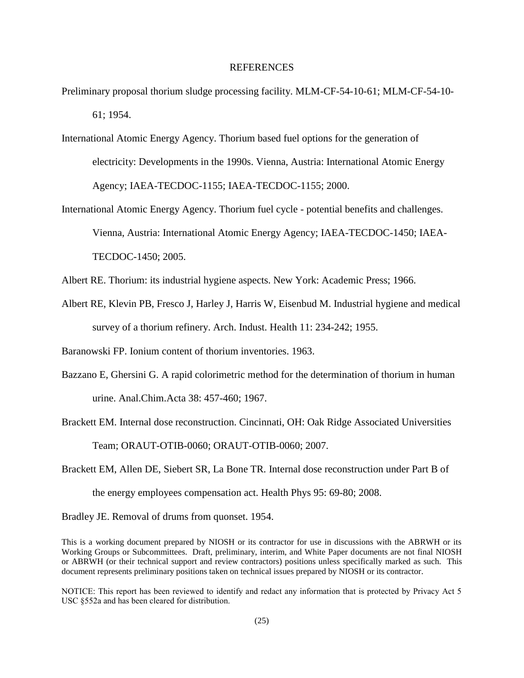# REFERENCES

- <span id="page-24-5"></span>Preliminary proposal thorium sludge processing facility. MLM-CF-54-10-61; MLM-CF-54-10- 61; 1954.
- <span id="page-24-0"></span>International Atomic Energy Agency. Thorium based fuel options for the generation of electricity: Developments in the 1990s. Vienna, Austria: International Atomic Energy Agency; IAEA-TECDOC-1155; IAEA-TECDOC-1155; 2000.
- <span id="page-24-1"></span>International Atomic Energy Agency. Thorium fuel cycle - potential benefits and challenges. Vienna, Austria: International Atomic Energy Agency; IAEA-TECDOC-1450; IAEA-TECDOC-1450; 2005.
- <span id="page-24-3"></span>Albert RE. Thorium: its industrial hygiene aspects. New York: Academic Press; 1966.
- <span id="page-24-2"></span>Albert RE, Klevin PB, Fresco J, Harley J, Harris W, Eisenbud M. Industrial hygiene and medical survey of a thorium refinery. Arch. Indust. Health 11: 234-242; 1955.

<span id="page-24-7"></span>Baranowski FP. Ionium content of thorium inventories. 1963.

- <span id="page-24-4"></span>Bazzano E, Ghersini G. A rapid colorimetric method for the determination of thorium in human urine. Anal.Chim.Acta 38: 457-460; 1967.
- <span id="page-24-6"></span>Brackett EM. Internal dose reconstruction. Cincinnati, OH: Oak Ridge Associated Universities Team; ORAUT-OTIB-0060; ORAUT-OTIB-0060; 2007.
- <span id="page-24-8"></span>Brackett EM, Allen DE, Siebert SR, La Bone TR. Internal dose reconstruction under Part B of the energy employees compensation act. Health Phys 95: 69-80; 2008.

<span id="page-24-9"></span>Bradley JE. Removal of drums from quonset. 1954.

This is a working document prepared by NIOSH or its contractor for use in discussions with the ABRWH or its Working Groups or Subcommittees. Draft, preliminary, interim, and White Paper documents are not final NIOSH or ABRWH (or their technical support and review contractors) positions unless specifically marked as such. This document represents preliminary positions taken on technical issues prepared by NIOSH or its contractor.

NOTICE: This report has been reviewed to identify and redact any information that is protected by Privacy Act 5 USC §552a and has been cleared for distribution.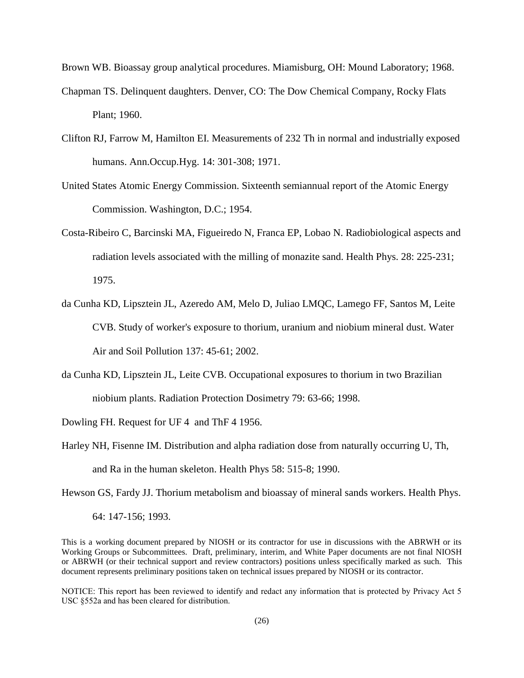<span id="page-25-8"></span>Brown WB. Bioassay group analytical procedures. Miamisburg, OH: Mound Laboratory; 1968.

- <span id="page-25-1"></span>Chapman TS. Delinquent daughters. Denver, CO: The Dow Chemical Company, Rocky Flats Plant; 1960.
- <span id="page-25-3"></span>Clifton RJ, Farrow M, Hamilton EI. Measurements of 232 Th in normal and industrially exposed humans. Ann.Occup.Hyg. 14: 301-308; 1971.
- <span id="page-25-0"></span>United States Atomic Energy Commission. Sixteenth semiannual report of the Atomic Energy Commission. Washington, D.C.; 1954.
- <span id="page-25-5"></span>Costa-Ribeiro C, Barcinski MA, Figueiredo N, Franca EP, Lobao N. Radiobiological aspects and radiation levels associated with the milling of monazite sand. Health Phys. 28: 225-231; 1975.
- <span id="page-25-6"></span>da Cunha KD, Lipsztein JL, Azeredo AM, Melo D, Juliao LMQC, Lamego FF, Santos M, Leite CVB. Study of worker's exposure to thorium, uranium and niobium mineral dust. Water Air and Soil Pollution 137: 45-61; 2002.
- <span id="page-25-7"></span>da Cunha KD, Lipsztein JL, Leite CVB. Occupational exposures to thorium in two Brazilian niobium plants. Radiation Protection Dosimetry 79: 63-66; 1998.

<span id="page-25-9"></span>Dowling FH. Request for UF 4 and ThF 4 1956.

<span id="page-25-4"></span>Harley NH, Fisenne IM. Distribution and alpha radiation dose from naturally occurring U, Th, and Ra in the human skeleton. Health Phys 58: 515-8; 1990.

<span id="page-25-2"></span>Hewson GS, Fardy JJ. Thorium metabolism and bioassay of mineral sands workers. Health Phys.

64: 147-156; 1993.

This is a working document prepared by NIOSH or its contractor for use in discussions with the ABRWH or its Working Groups or Subcommittees. Draft, preliminary, interim, and White Paper documents are not final NIOSH or ABRWH (or their technical support and review contractors) positions unless specifically marked as such. This document represents preliminary positions taken on technical issues prepared by NIOSH or its contractor.

NOTICE: This report has been reviewed to identify and redact any information that is protected by Privacy Act 5 USC §552a and has been cleared for distribution.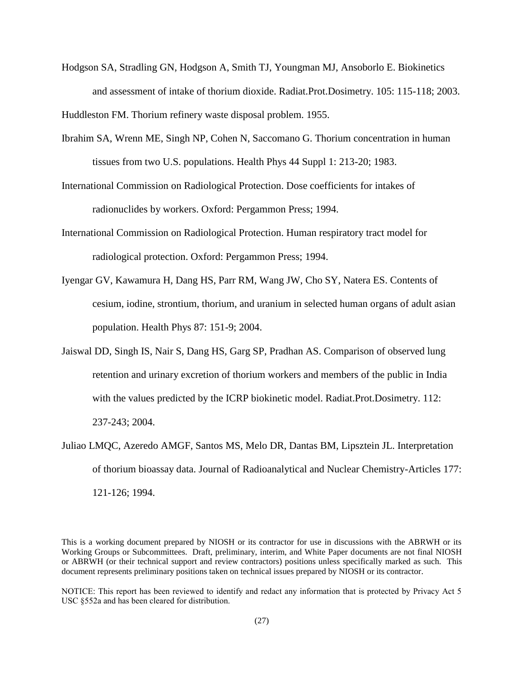<span id="page-26-1"></span>Hodgson SA, Stradling GN, Hodgson A, Smith TJ, Youngman MJ, Ansoborlo E. Biokinetics and assessment of intake of thorium dioxide. Radiat.Prot.Dosimetry. 105: 115-118; 2003.

<span id="page-26-5"></span>Huddleston FM. Thorium refinery waste disposal problem. 1955.

- <span id="page-26-2"></span>Ibrahim SA, Wrenn ME, Singh NP, Cohen N, Saccomano G. Thorium concentration in human tissues from two U.S. populations. Health Phys 44 Suppl 1: 213-20; 1983.
- <span id="page-26-7"></span>International Commission on Radiological Protection. Dose coefficients for intakes of radionuclides by workers. Oxford: Pergammon Press; 1994.
- <span id="page-26-6"></span>International Commission on Radiological Protection. Human respiratory tract model for radiological protection. Oxford: Pergammon Press; 1994.
- <span id="page-26-3"></span>Iyengar GV, Kawamura H, Dang HS, Parr RM, Wang JW, Cho SY, Natera ES. Contents of cesium, iodine, strontium, thorium, and uranium in selected human organs of adult asian population. Health Phys 87: 151-9; 2004.
- <span id="page-26-4"></span>Jaiswal DD, Singh IS, Nair S, Dang HS, Garg SP, Pradhan AS. Comparison of observed lung retention and urinary excretion of thorium workers and members of the public in India with the values predicted by the ICRP biokinetic model. Radiat.Prot.Dosimetry. 112: 237-243; 2004.
- <span id="page-26-0"></span>Juliao LMQC, Azeredo AMGF, Santos MS, Melo DR, Dantas BM, Lipsztein JL. Interpretation of thorium bioassay data. Journal of Radioanalytical and Nuclear Chemistry-Articles 177: 121-126; 1994.

This is a working document prepared by NIOSH or its contractor for use in discussions with the ABRWH or its Working Groups or Subcommittees. Draft, preliminary, interim, and White Paper documents are not final NIOSH or ABRWH (or their technical support and review contractors) positions unless specifically marked as such. This document represents preliminary positions taken on technical issues prepared by NIOSH or its contractor.

NOTICE: This report has been reviewed to identify and redact any information that is protected by Privacy Act 5 USC §552a and has been cleared for distribution.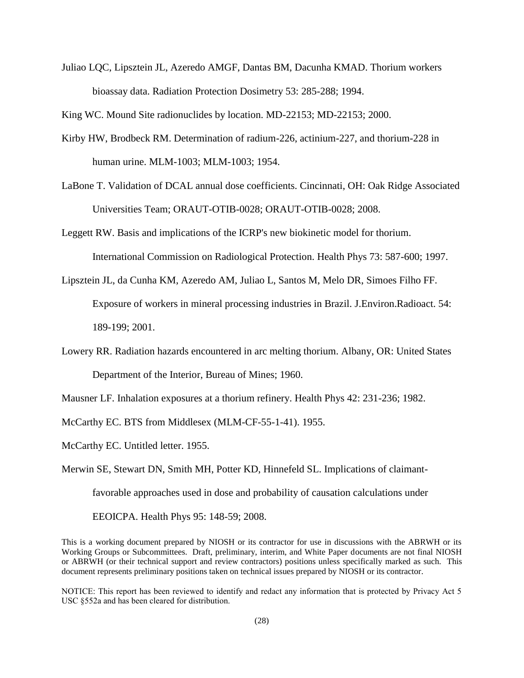<span id="page-27-2"></span>Juliao LQC, Lipsztein JL, Azeredo AMGF, Dantas BM, Dacunha KMAD. Thorium workers bioassay data. Radiation Protection Dosimetry 53: 285-288; 1994.

<span id="page-27-0"></span>King WC. Mound Site radionuclides by location. MD-22153; MD-22153; 2000.

- <span id="page-27-7"></span>Kirby HW, Brodbeck RM. Determination of radium-226, actinium-227, and thorium-228 in human urine. MLM-1003; MLM-1003; 1954.
- <span id="page-27-8"></span>LaBone T. Validation of DCAL annual dose coefficients. Cincinnati, OH: Oak Ridge Associated Universities Team; ORAUT-OTIB-0028; ORAUT-OTIB-0028; 2008.
- <span id="page-27-4"></span>Leggett RW. Basis and implications of the ICRP's new biokinetic model for thorium. International Commission on Radiological Protection. Health Phys 73: 587-600; 1997.
- <span id="page-27-5"></span>Lipsztein JL, da Cunha KM, Azeredo AM, Juliao L, Santos M, Melo DR, Simoes Filho FF. Exposure of workers in mineral processing industries in Brazil. J.Environ.Radioact. 54: 189-199; 2001.
- <span id="page-27-1"></span>Lowery RR. Radiation hazards encountered in arc melting thorium. Albany, OR: United States Department of the Interior, Bureau of Mines; 1960.

<span id="page-27-3"></span>Mausner LF. Inhalation exposures at a thorium refinery. Health Phys 42: 231-236; 1982.

<span id="page-27-10"></span>McCarthy EC. BTS from Middlesex (MLM-CF-55-1-41). 1955.

<span id="page-27-6"></span>McCarthy EC. Untitled letter. 1955.

<span id="page-27-9"></span>Merwin SE, Stewart DN, Smith MH, Potter KD, Hinnefeld SL. Implications of claimant-

favorable approaches used in dose and probability of causation calculations under

EEOICPA. Health Phys 95: 148-59; 2008.

This is a working document prepared by NIOSH or its contractor for use in discussions with the ABRWH or its Working Groups or Subcommittees. Draft, preliminary, interim, and White Paper documents are not final NIOSH or ABRWH (or their technical support and review contractors) positions unless specifically marked as such. This document represents preliminary positions taken on technical issues prepared by NIOSH or its contractor.

NOTICE: This report has been reviewed to identify and redact any information that is protected by Privacy Act 5 USC §552a and has been cleared for distribution.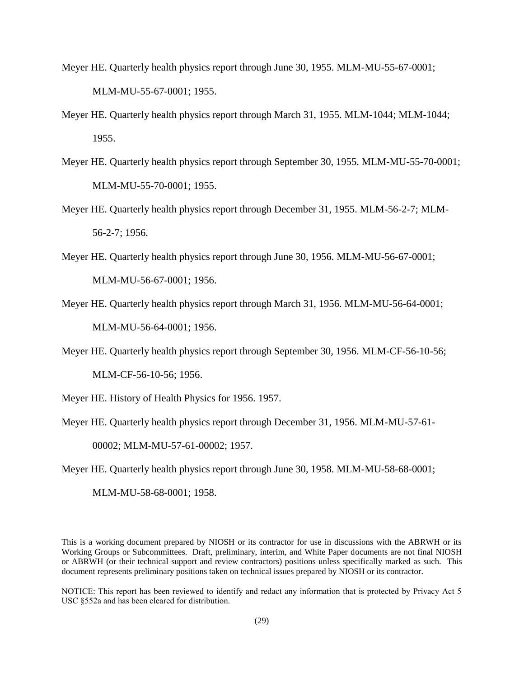- <span id="page-28-10"></span><span id="page-28-9"></span><span id="page-28-8"></span><span id="page-28-0"></span>Meyer HE. Quarterly health physics report through June 30, 1955. MLM-MU-55-67-0001; MLM-MU-55-67-0001; 1955.
- <span id="page-28-12"></span><span id="page-28-1"></span>Meyer HE. Quarterly health physics report through March 31, 1955. MLM-1044; MLM-1044; 1955.
- <span id="page-28-11"></span><span id="page-28-2"></span>Meyer HE. Quarterly health physics report through September 30, 1955. MLM-MU-55-70-0001; MLM-MU-55-70-0001; 1955.
- <span id="page-28-13"></span><span id="page-28-3"></span>Meyer HE. Quarterly health physics report through December 31, 1955. MLM-56-2-7; MLM-56-2-7; 1956.
- <span id="page-28-14"></span><span id="page-28-4"></span>Meyer HE. Quarterly health physics report through June 30, 1956. MLM-MU-56-67-0001; MLM-MU-56-67-0001; 1956.
- Meyer HE. Quarterly health physics report through March 31, 1956. MLM-MU-56-64-0001; MLM-MU-56-64-0001; 1956.
- Meyer HE. Quarterly health physics report through September 30, 1956. MLM-CF-56-10-56;

MLM-CF-56-10-56; 1956.

<span id="page-28-5"></span>Meyer HE. History of Health Physics for 1956. 1957.

<span id="page-28-6"></span>Meyer HE. Quarterly health physics report through December 31, 1956. MLM-MU-57-61-

00002; MLM-MU-57-61-00002; 1957.

<span id="page-28-7"></span>Meyer HE. Quarterly health physics report through June 30, 1958. MLM-MU-58-68-0001;

MLM-MU-58-68-0001; 1958.

This is a working document prepared by NIOSH or its contractor for use in discussions with the ABRWH or its Working Groups or Subcommittees. Draft, preliminary, interim, and White Paper documents are not final NIOSH or ABRWH (or their technical support and review contractors) positions unless specifically marked as such. This document represents preliminary positions taken on technical issues prepared by NIOSH or its contractor.

NOTICE: This report has been reviewed to identify and redact any information that is protected by Privacy Act 5 USC §552a and has been cleared for distribution.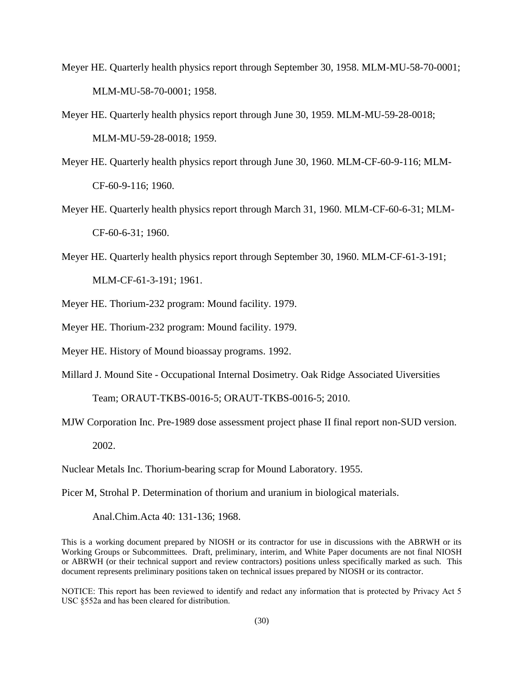- <span id="page-29-6"></span>Meyer HE. Quarterly health physics report through September 30, 1958. MLM-MU-58-70-0001; MLM-MU-58-70-0001; 1958.
- <span id="page-29-7"></span>Meyer HE. Quarterly health physics report through June 30, 1959. MLM-MU-59-28-0018; MLM-MU-59-28-0018; 1959.
- <span id="page-29-9"></span>Meyer HE. Quarterly health physics report through June 30, 1960. MLM-CF-60-9-116; MLM-CF-60-9-116; 1960.
- <span id="page-29-8"></span>Meyer HE. Quarterly health physics report through March 31, 1960. MLM-CF-60-6-31; MLM-CF-60-6-31; 1960.
- <span id="page-29-10"></span>Meyer HE. Quarterly health physics report through September 30, 1960. MLM-CF-61-3-191; MLM-CF-61-3-191; 1961.
- <span id="page-29-2"></span>Meyer HE. Thorium-232 program: Mound facility. 1979.
- <span id="page-29-4"></span>Meyer HE. Thorium-232 program: Mound facility. 1979.
- <span id="page-29-11"></span>Meyer HE. History of Mound bioassay programs. 1992.
- <span id="page-29-3"></span>Millard J. Mound Site - Occupational Internal Dosimetry. Oak Ridge Associated Uiversities

Team; ORAUT-TKBS-0016-5; ORAUT-TKBS-0016-5; 2010.

<span id="page-29-1"></span>MJW Corporation Inc. Pre-1989 dose assessment project phase II final report non-SUD version. 2002.

<span id="page-29-5"></span>Nuclear Metals Inc. Thorium-bearing scrap for Mound Laboratory. 1955.

<span id="page-29-0"></span>Picer M, Strohal P. Determination of thorium and uranium in biological materials.

Anal.Chim.Acta 40: 131-136; 1968.

This is a working document prepared by NIOSH or its contractor for use in discussions with the ABRWH or its Working Groups or Subcommittees. Draft, preliminary, interim, and White Paper documents are not final NIOSH or ABRWH (or their technical support and review contractors) positions unless specifically marked as such. This document represents preliminary positions taken on technical issues prepared by NIOSH or its contractor.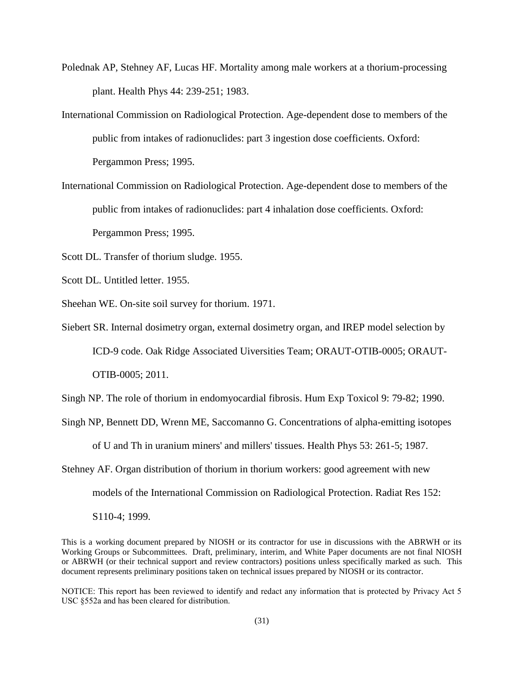- <span id="page-30-4"></span>Polednak AP, Stehney AF, Lucas HF. Mortality among male workers at a thorium-processing plant. Health Phys 44: 239-251; 1983.
- <span id="page-30-5"></span>International Commission on Radiological Protection. Age-dependent dose to members of the public from intakes of radionuclides: part 3 ingestion dose coefficients. Oxford: Pergammon Press; 1995.
- <span id="page-30-0"></span>International Commission on Radiological Protection. Age-dependent dose to members of the public from intakes of radionuclides: part 4 inhalation dose coefficients. Oxford: Pergammon Press; 1995.
- <span id="page-30-7"></span>Scott DL. Transfer of thorium sludge. 1955.
- <span id="page-30-8"></span>Scott DL. Untitled letter. 1955.
- <span id="page-30-9"></span>Sheehan WE. On-site soil survey for thorium. 1971.

<span id="page-30-6"></span>Siebert SR. Internal dosimetry organ, external dosimetry organ, and IREP model selection by ICD-9 code. Oak Ridge Associated Uiversities Team; ORAUT-OTIB-0005; ORAUT-OTIB-0005; 2011.

<span id="page-30-2"></span>Singh NP. The role of thorium in endomyocardial fibrosis. Hum Exp Toxicol 9: 79-82; 1990.

<span id="page-30-1"></span>Singh NP, Bennett DD, Wrenn ME, Saccomanno G. Concentrations of alpha-emitting isotopes

of U and Th in uranium miners' and millers' tissues. Health Phys 53: 261-5; 1987.

<span id="page-30-3"></span>Stehney AF. Organ distribution of thorium in thorium workers: good agreement with new models of the International Commission on Radiological Protection. Radiat Res 152: S110-4; 1999.

This is a working document prepared by NIOSH or its contractor for use in discussions with the ABRWH or its Working Groups or Subcommittees. Draft, preliminary, interim, and White Paper documents are not final NIOSH or ABRWH (or their technical support and review contractors) positions unless specifically marked as such. This document represents preliminary positions taken on technical issues prepared by NIOSH or its contractor.

NOTICE: This report has been reviewed to identify and redact any information that is protected by Privacy Act 5 USC §552a and has been cleared for distribution.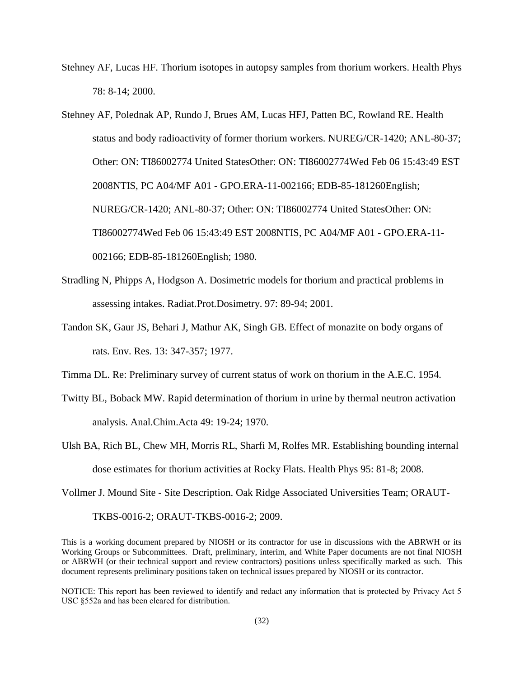<span id="page-31-5"></span>Stehney AF, Lucas HF. Thorium isotopes in autopsy samples from thorium workers. Health Phys 78: 8-14; 2000.

<span id="page-31-6"></span>Stehney AF, Polednak AP, Rundo J, Brues AM, Lucas HFJ, Patten BC, Rowland RE. Health status and body radioactivity of former thorium workers. NUREG/CR-1420; ANL-80-37; Other: ON: TI86002774 United StatesOther: ON: TI86002774Wed Feb 06 15:43:49 EST 2008NTIS, PC A04/MF A01 - GPO.ERA-11-002166; EDB-85-181260English; NUREG/CR-1420; ANL-80-37; Other: ON: TI86002774 United StatesOther: ON: TI86002774Wed Feb 06 15:43:49 EST 2008NTIS, PC A04/MF A01 - GPO.ERA-11- 002166; EDB-85-181260English; 1980.

- <span id="page-31-4"></span>Stradling N, Phipps A, Hodgson A. Dosimetric models for thorium and practical problems in assessing intakes. Radiat.Prot.Dosimetry. 97: 89-94; 2001.
- <span id="page-31-7"></span>Tandon SK, Gaur JS, Behari J, Mathur AK, Singh GB. Effect of monazite on body organs of rats. Env. Res. 13: 347-357; 1977.

<span id="page-31-1"></span>Timma DL. Re: Preliminary survey of current status of work on thorium in the A.E.C. 1954.

- <span id="page-31-3"></span>Twitty BL, Boback MW. Rapid determination of thorium in urine by thermal neutron activation analysis. Anal.Chim.Acta 49: 19-24; 1970.
- <span id="page-31-2"></span>Ulsh BA, Rich BL, Chew MH, Morris RL, Sharfi M, Rolfes MR. Establishing bounding internal dose estimates for thorium activities at Rocky Flats. Health Phys 95: 81-8; 2008.

<span id="page-31-0"></span>Vollmer J. Mound Site - Site Description. Oak Ridge Associated Universities Team; ORAUT-

TKBS-0016-2; ORAUT-TKBS-0016-2; 2009.

This is a working document prepared by NIOSH or its contractor for use in discussions with the ABRWH or its Working Groups or Subcommittees. Draft, preliminary, interim, and White Paper documents are not final NIOSH or ABRWH (or their technical support and review contractors) positions unless specifically marked as such. This document represents preliminary positions taken on technical issues prepared by NIOSH or its contractor.

NOTICE: This report has been reviewed to identify and redact any information that is protected by Privacy Act 5 USC §552a and has been cleared for distribution.